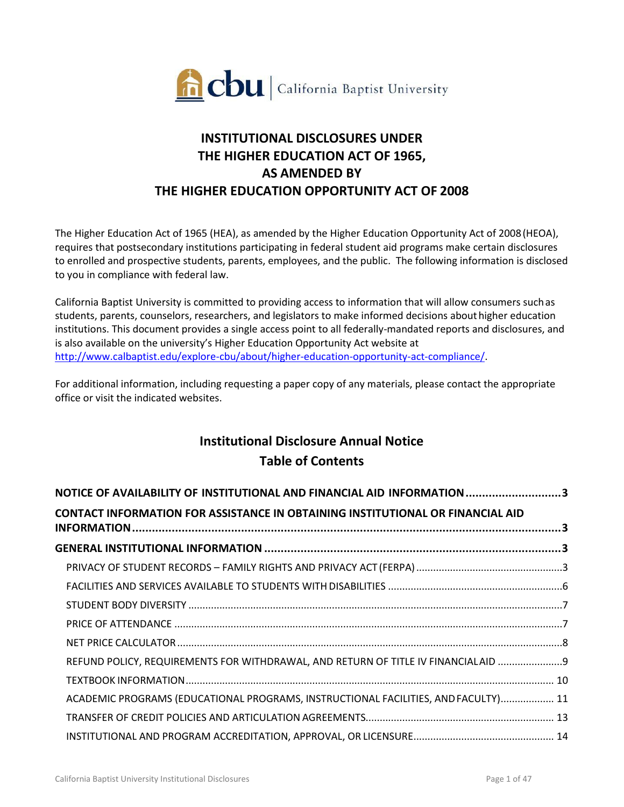

# **INSTITUTIONAL DISCLOSURES UNDER THE HIGHER EDUCATION ACT OF 1965, AS AMENDED BY THE HIGHER EDUCATION OPPORTUNITY ACT OF 2008**

The Higher Education Act of 1965 (HEA), as amended by the Higher Education Opportunity Act of 2008(HEOA), requires that postsecondary institutions participating in federal student aid programs make certain disclosures to enrolled and prospective students, parents, employees, and the public. The following information is disclosed to you in compliance with federal law.

California Baptist University is committed to providing access to information that will allow consumers suchas students, parents, counselors, researchers, and legislators to make informed decisions abouthigher education institutions. This document provides a single access point to all federally-mandated reports and disclosures, and is also available on the university's Higher Education Opportunity Act website at [http://www.calbaptist.edu/explore-cbu/about/higher-education-opportunity-act-compliance/.](http://www.calbaptist.edu/explore-cbu/about/higher-education-opportunity-act-compliance/)

For additional information, including requesting a paper copy of any materials, please contact the appropriate office or visit the indicated websites.

# **Institutional Disclosure Annual Notice Table of Contents**

| NOTICE OF AVAILABILITY OF INSTITUTIONAL AND FINANCIAL AID INFORMATION 3               |  |
|---------------------------------------------------------------------------------------|--|
| <b>CONTACT INFORMATION FOR ASSISTANCE IN OBTAINING INSTITUTIONAL OR FINANCIAL AID</b> |  |
|                                                                                       |  |
|                                                                                       |  |
|                                                                                       |  |
|                                                                                       |  |
|                                                                                       |  |
|                                                                                       |  |
| REFUND POLICY, REQUIREMENTS FOR WITHDRAWAL, AND RETURN OF TITLE IV FINANCIALAID 9     |  |
|                                                                                       |  |
| ACADEMIC PROGRAMS (EDUCATIONAL PROGRAMS, INSTRUCTIONAL FACILITIES, AND FACULTY) 11    |  |
|                                                                                       |  |
|                                                                                       |  |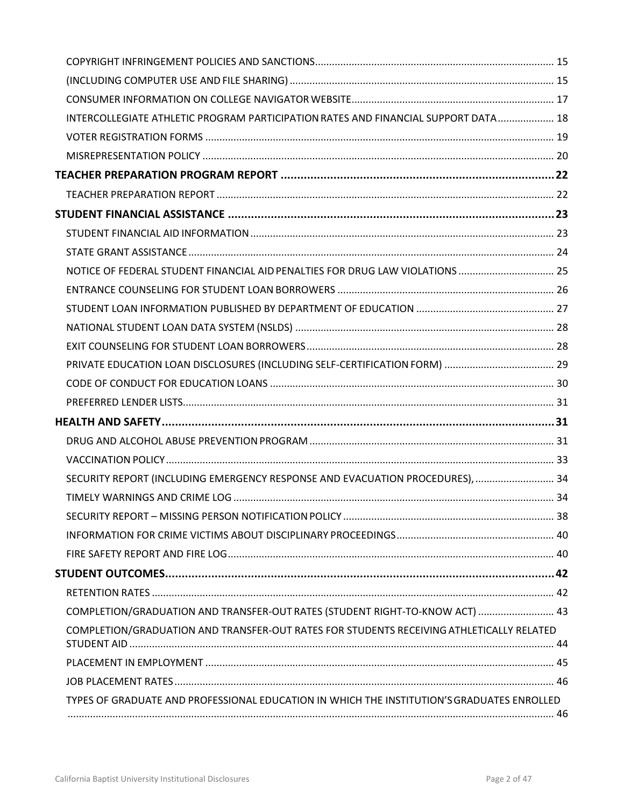| INTERCOLLEGIATE ATHLETIC PROGRAM PARTICIPATION RATES AND FINANCIAL SUPPORT DATA 18         |  |
|--------------------------------------------------------------------------------------------|--|
|                                                                                            |  |
|                                                                                            |  |
|                                                                                            |  |
|                                                                                            |  |
|                                                                                            |  |
|                                                                                            |  |
|                                                                                            |  |
| NOTICE OF FEDERAL STUDENT FINANCIAL AID PENALTIES FOR DRUG LAW VIOLATIONS  25              |  |
|                                                                                            |  |
|                                                                                            |  |
|                                                                                            |  |
|                                                                                            |  |
|                                                                                            |  |
|                                                                                            |  |
|                                                                                            |  |
|                                                                                            |  |
|                                                                                            |  |
|                                                                                            |  |
| SECURITY REPORT (INCLUDING EMERGENCY RESPONSE AND EVACUATION PROCEDURES),  34              |  |
|                                                                                            |  |
|                                                                                            |  |
|                                                                                            |  |
|                                                                                            |  |
|                                                                                            |  |
|                                                                                            |  |
| COMPLETION/GRADUATION AND TRANSFER-OUT RATES (STUDENT RIGHT-TO-KNOW ACT)  43               |  |
| COMPLETION/GRADUATION AND TRANSFER-OUT RATES FOR STUDENTS RECEIVING ATHLETICALLY RELATED   |  |
|                                                                                            |  |
|                                                                                            |  |
| TYPES OF GRADUATE AND PROFESSIONAL EDUCATION IN WHICH THE INSTITUTION'S GRADUATES ENROLLED |  |
|                                                                                            |  |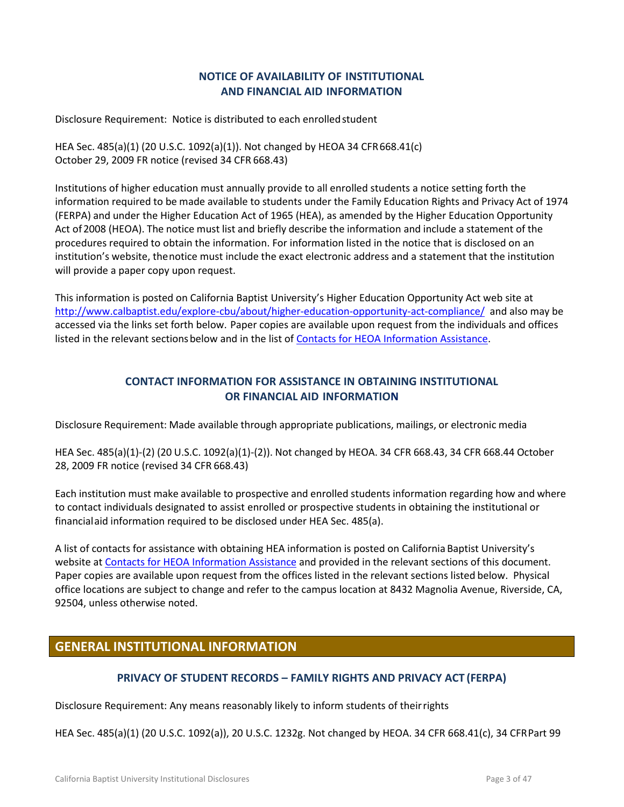# **NOTICE OF AVAILABILITY OF INSTITUTIONAL AND FINANCIAL AID INFORMATION**

<span id="page-2-0"></span>Disclosure Requirement: Notice is distributed to each enrolledstudent

HEA Sec. 485(a)(1) (20 U.S.C. 1092(a)(1)). Not changed by HEOA 34 CFR668.41(c) October 29, 2009 FR notice (revised 34 CFR 668.43)

Institutions of higher education must annually provide to all enrolled students a notice setting forth the information required to be made available to students under the Family Education Rights and Privacy Act of 1974 (FERPA) and under the Higher Education Act of 1965 (HEA), as amended by the Higher Education Opportunity Act of 2008 (HEOA). The notice must list and briefly describe the information and include a statement of the procedures required to obtain the information. For information listed in the notice that is disclosed on an institution's website, thenotice must include the exact electronic address and a statement that the institution will provide a paper copy upon request.

This information is posted on California Baptist University's Higher Education Opportunity Act web site at <http://www.calbaptist.edu/explore-cbu/about/higher-education-opportunity-act-compliance/>and also may be accessed via the links set forth below. Paper copies are available upon request from the individuals and offices listed in the relevant sections below and in the list of [Contacts for HEOA Information Assistance.](https://insidecbu.calbaptist.edu/ICS/icsfs/Contacts_for_HEOA_Information.pdf?target=57e5946d-ff25-4a7e-a1b0-d2df7e9b2ba5.)

# **CONTACT INFORMATION FOR ASSISTANCE IN OBTAINING INSTITUTIONAL OR FINANCIAL AID INFORMATION**

<span id="page-2-1"></span>Disclosure Requirement: Made available through appropriate publications, mailings, or electronic media

HEA Sec. 485(a)(1)-(2) (20 U.S.C. 1092(a)(1)-(2)). Not changed by HEOA. 34 CFR 668.43, 34 CFR 668.44 October 28, 2009 FR notice (revised 34 CFR 668.43)

Each institution must make available to prospective and enrolled students information regarding how and where to contact individuals designated to assist enrolled or prospective students in obtaining the institutional or financialaid information required to be disclosed under HEA Sec. 485(a).

A list of contacts for assistance with obtaining HEA information is posted on California Baptist University's website at [Contacts for HEOA Information Assistance](https://insidecbu.calbaptist.edu/ICS/icsfs/Contacts_for_HEOA_Information.pdf?target=57e5946d-ff25-4a7e-a1b0-d2df7e9b2ba5.) and provided in the relevant sections of this document. Paper copies are available upon request from the offices listed in the relevant sections listed below. Physical office locations are subject to change and refer to the campus location at 8432 Magnolia Avenue, Riverside, CA, 92504, unless otherwise noted.

# <span id="page-2-3"></span><span id="page-2-2"></span>**GENERAL INSTITUTIONAL INFORMATION**

#### **PRIVACY OF STUDENT RECORDS – FAMILY RIGHTS AND PRIVACY ACT (FERPA)**

Disclosure Requirement: Any means reasonably likely to inform students of theirrights

HEA Sec. 485(a)(1) (20 U.S.C. 1092(a)), 20 U.S.C. 1232g. Not changed by HEOA. 34 CFR 668.41(c), 34 CFRPart 99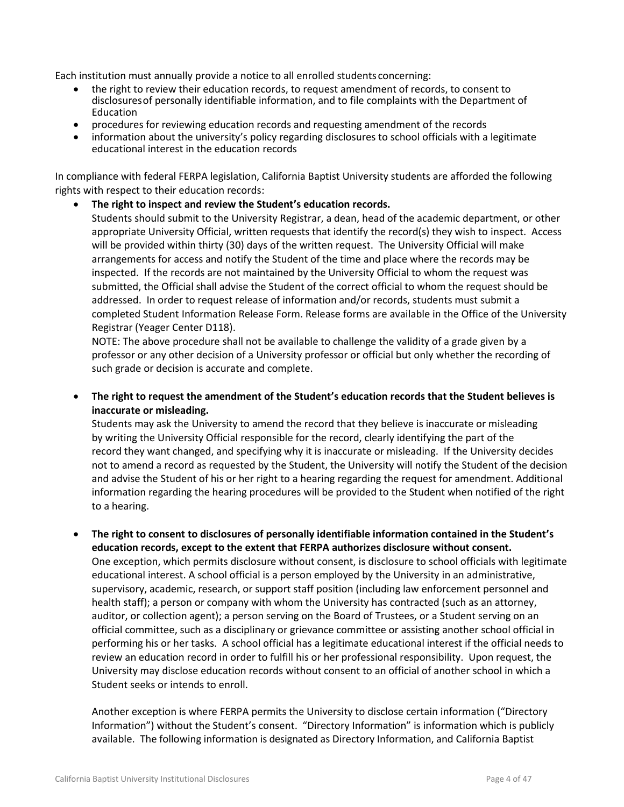Each institution must annually provide a notice to all enrolled students concerning:

- the right to review their education records, to request amendment of records, to consent to disclosuresof personally identifiable information, and to file complaints with the Department of Education
- procedures for reviewing education records and requesting amendment of the records
- information about the university's policy regarding disclosures to school officials with a legitimate educational interest in the education records

In compliance with federal FERPA legislation, California Baptist University students are afforded the following rights with respect to their education records:

#### **The right to inspect and review the Student's education records.**

Students should submit to the University Registrar, a dean, head of the academic department, or other appropriate University Official, written requests that identify the record(s) they wish to inspect. Access will be provided within thirty (30) days of the written request. The University Official will make arrangements for access and notify the Student of the time and place where the records may be inspected. If the records are not maintained by the University Official to whom the request was submitted, the Official shall advise the Student of the correct official to whom the request should be addressed. In order to request release of information and/or records, students must submit a completed Student Information Release Form. Release forms are available in the Office of the University Registrar (Yeager Center D118).

NOTE: The above procedure shall not be available to challenge the validity of a grade given by a professor or any other decision of a University professor or official but only whether the recording of such grade or decision is accurate and complete.

 **The right to request the amendment of the Student's education records that the Student believes is inaccurate or misleading.**

Students may ask the University to amend the record that they believe is inaccurate or misleading by writing the University Official responsible for the record, clearly identifying the part of the record they want changed, and specifying why it is inaccurate or misleading. If the University decides not to amend a record as requested by the Student, the University will notify the Student of the decision and advise the Student of his or her right to a hearing regarding the request for amendment. Additional information regarding the hearing procedures will be provided to the Student when notified of the right to a hearing.

 **The right to consent to disclosures of personally identifiable information contained in the Student's education records, except to the extent that FERPA authorizes disclosure without consent.**

One exception, which permits disclosure without consent, is disclosure to school officials with legitimate educational interest. A school official is a person employed by the University in an administrative, supervisory, academic, research, or support staff position (including law enforcement personnel and health staff); a person or company with whom the University has contracted (such as an attorney, auditor, or collection agent); a person serving on the Board of Trustees, or a Student serving on an official committee, such as a disciplinary or grievance committee or assisting another school official in performing his or her tasks. A school official has a legitimate educational interest if the official needs to review an education record in order to fulfill his or her professional responsibility. Upon request, the University may disclose education records without consent to an official of another school in which a Student seeks or intends to enroll.

Another exception is where FERPA permits the University to disclose certain information ("Directory Information") without the Student's consent. "Directory Information" is information which is publicly available. The following information is designated as Directory Information, and California Baptist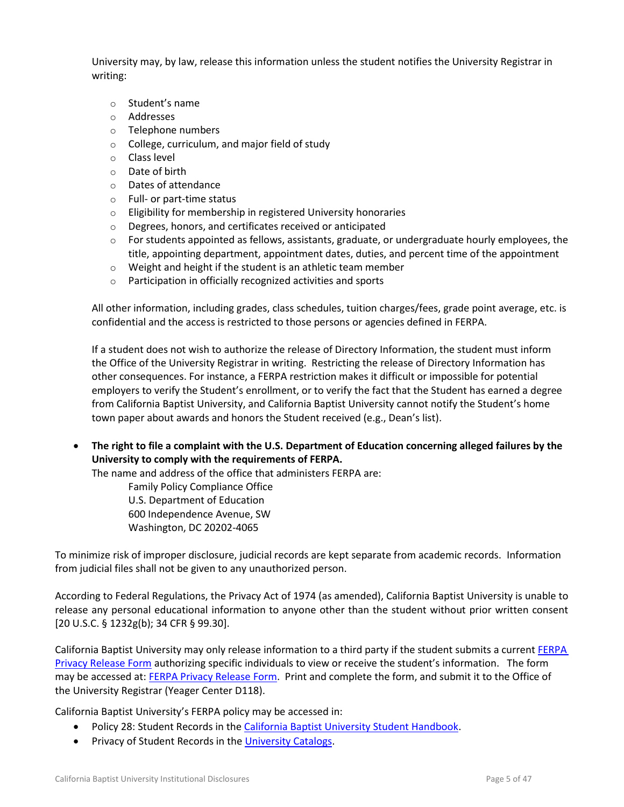University may, by law, release this information unless the student notifies the University Registrar in writing:

- o Student's name
- o Addresses
- o Telephone numbers
- o College, curriculum, and major field of study
- o Class level
- o Date of birth
- o Dates of attendance
- o Full- or part-time status
- $\circ$  Eligibility for membership in registered University honoraries
- o Degrees, honors, and certificates received or anticipated
- $\circ$  For students appointed as fellows, assistants, graduate, or undergraduate hourly employees, the title, appointing department, appointment dates, duties, and percent time of the appointment
- o Weight and height if the student is an athletic team member
- o Participation in officially recognized activities and sports

All other information, including grades, class schedules, tuition charges/fees, grade point average, etc. is confidential and the access is restricted to those persons or agencies defined in FERPA.

If a student does not wish to authorize the release of Directory Information, the student must inform the Office of the University Registrar in writing. Restricting the release of Directory Information has other consequences. For instance, a FERPA restriction makes it difficult or impossible for potential employers to verify the Student's enrollment, or to verify the fact that the Student has earned a degree from California Baptist University, and California Baptist University cannot notify the Student's home town paper about awards and honors the Student received (e.g., Dean's list).

 **The right to file a complaint with the U.S. Department of Education concerning alleged failures by the University to comply with the requirements of FERPA.**

The name and address of the office that administers FERPA are:

Family Policy Compliance Office U.S. Department of Education 600 Independence Avenue, SW Washington, DC 20202-4065

To minimize risk of improper disclosure, judicial records are kept separate from academic records. Information from judicial files shall not be given to any unauthorized person.

According to Federal Regulations, the Privacy Act of 1974 (as amended), California Baptist University is unable to release any personal educational information to anyone other than the student without prior written consent [20 U.S.C. § 1232g(b); 34 CFR § 99.30].

California Baptist University may only release information to a third party if the student submits a current FERPA [Privacy Release Form](https://insidecbu.calbaptist.edu/ICS/icsfs/FERPA_Privacy_Release_06-2013.pdf?target=b4823996-6681-4a16-8f4c-b478329a8e3a) authorizing specific individuals to view or receive the student's information. The form may be accessed at: [FERPA Privacy Release](https://insidecbu.calbaptist.edu/ICS/icsfs/FERPA_Privacy_Release_06-2013.pdf?target=b4823996-6681-4a16-8f4c-b478329a8e3a) For[m.](https://insidecbu.calbaptist.edu/ICS/icsfs/FERPA_Privacy_Release_06-2013.pdf?target=b4823996-6681-4a16-8f4c-b478329a8e3a) Print and complete the form, and submit it to the Office of the University Registrar (Yeager Center D118).

California Baptist University's FERPA policy may be accessed in:

- Policy 28: Student Records in th[e California Baptist University Student Handbook.](http://www.thezonelive.com/SchoolStructure/CA_CaliforniaBaptistCollege/handbook.pdf)
- Privacy of Student Records in the [University Catalogs.](http://www.calbaptist.edu/explore-cbu/offices/office-registrar/academic-catalogs)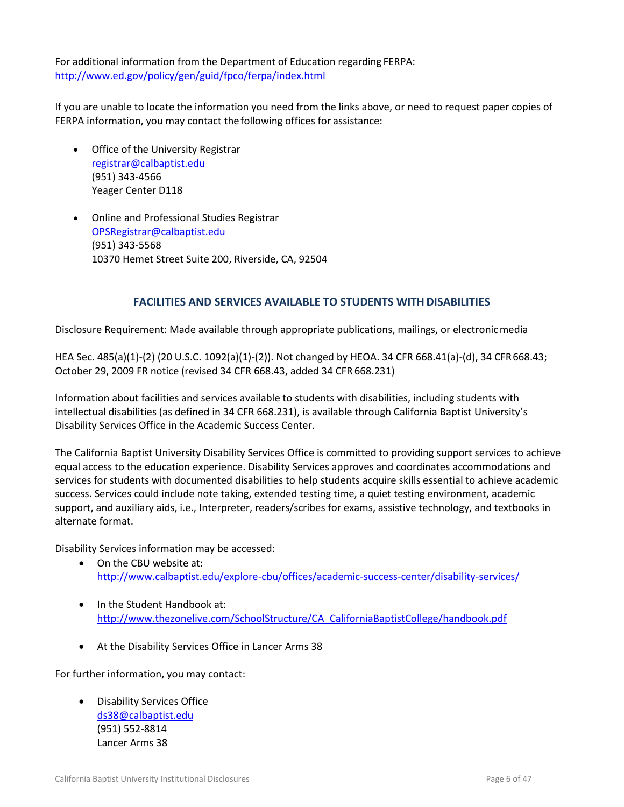For additional information from the Department of Education regarding FERPA: <http://www.ed.gov/policy/gen/guid/fpco/ferpa/index.html>

If you are unable to locate the information you need from the links above, or need to request paper copies of FERPA information, you may contact thefollowing offices for assistance:

- Office of the University Registrar registrar@calbaptist.edu (951) 343-4566 Yeager Center D118
- Online and Professional Studies Registrar OPSRegistrar@calbaptist.edu (951) 343-5568 10370 Hemet Street Suite 200, Riverside, CA, 92504

# **FACILITIES AND SERVICES AVAILABLE TO STUDENTS WITH DISABILITIES**

<span id="page-5-0"></span>Disclosure Requirement: Made available through appropriate publications, mailings, or electronicmedia

HEA Sec. 485(a)(1)-(2) (20 U.S.C. 1092(a)(1)-(2)). Not changed by HEOA. 34 CFR 668.41(a)-(d), 34 CFR668.43; October 29, 2009 FR notice (revised 34 CFR 668.43, added 34 CFR 668.231)

Information about facilities and services available to students with disabilities, including students with intellectual disabilities (as defined in 34 CFR 668.231), is available through California Baptist University's Disability Services Office in the Academic Success Center.

The California Baptist University Disability Services Office is committed to providing support services to achieve equal access to the education experience. Disability Services approves and coordinates accommodations and services for students with documented disabilities to help students acquire skills essential to achieve academic success. Services could include note taking, extended testing time, a quiet testing environment, academic support, and auxiliary aids, i.e., Interpreter, readers/scribes for exams, assistive technology, and textbooks in alternate format.

Disability Services information may be accessed:

- On the CBU website at: <http://www.calbaptist.edu/explore-cbu/offices/academic-success-center/disability-services/>
- In the Student Handbook at: [http://www.thezonelive.com/SchoolStructure/CA\\_CaliforniaBaptistCollege/handbook.pdf](http://www.thezonelive.com/SchoolStructure/CA_CaliforniaBaptistCollege/handbook.pdf)
- At the Disability Services Office in Lancer Arms 38

For further information, you may contact:

 Disability Services Office [ds38@calbaptist.edu](mailto:ds38@calbaptist.edu) (951) 552-8814 Lancer Arms 38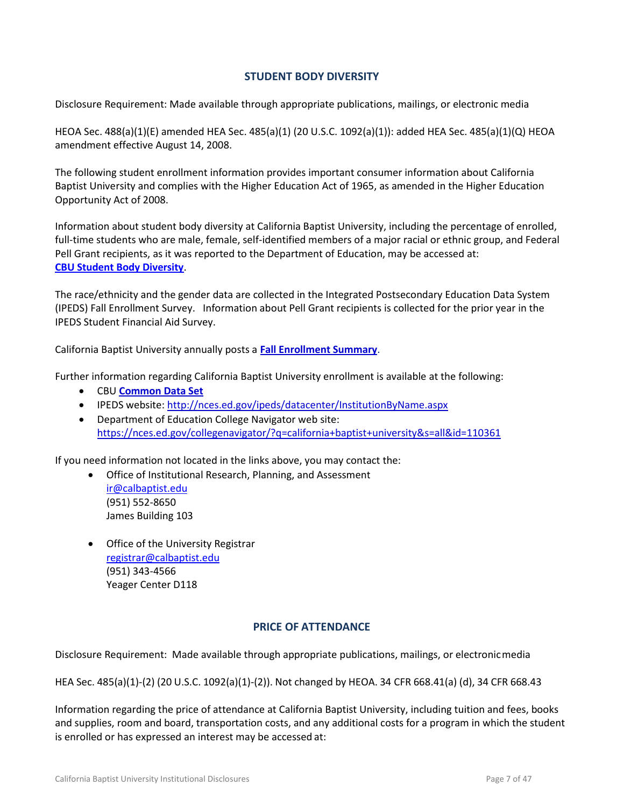### **STUDENT BODY DIVERSITY**

<span id="page-6-0"></span>Disclosure Requirement: Made available through appropriate publications, mailings, or electronic media

HEOA Sec. 488(a)(1)(E) amended HEA Sec. 485(a)(1) (20 U.S.C. 1092(a)(1)): added HEA Sec. 485(a)(1)(Q) HEOA amendment effective August 14, 2008.

The following student enrollment information provides important consumer information about California Baptist University and complies with the Higher Education Act of 1965, as amended in the Higher Education Opportunity Act of 2008.

Information about student body diversity at California Baptist University, including the percentage of enrolled, full-time students who are male, female, self-identified members of a major racial or ethnic group, and Federal Pell Grant recipients, as it was reported to the Department of Education, may be accessed at: **[CBU Student Body Diversity](https://insidecbu.calbaptist.edu/ICS/icsfs/HEOA_Fall_2014_Student_Diversity-Pell.pdf?target=ab42fd27-c8de-42a1-9415-a600dc5266cb)**.

The race/ethnicity and the gender data are collected in the Integrated Postsecondary Education Data System (IPEDS) Fall Enrollment Survey. Information about Pell Grant recipients is collected for the prior year in the IPEDS Student Financial Aid Survey.

California Baptist University annually posts a **[Fall Enrollment Summary](https://insidecbu.calbaptist.edu/ICS/icsfs/Fall_2014_Statistics.pdf?target=44ab44ac-0674-45e4-8d28-d3e28a4aaf41)**.

Further information regarding California Baptist University enrollment is available at the following:

- CBU **[Common Data Set](https://insidecbu.calbaptist.edu/ICS/icsfs/CDS_2014-2015.pdf?target=967621cb-56f1-4333-8d91-a7e6b2258129)**
- IPEDS website:<http://nces.ed.gov/ipeds/datacenter/InstitutionByName.aspx>
- Department of Education College Navigator web site: <https://nces.ed.gov/collegenavigator/?q=california+baptist+university&s=all&id=110361>

If you need information not located in the links above, you may contact the:

- Office of Institutional Research, Planning, and Assessment [ir@calbaptist.edu](mailto:ir@calbaptist.edu) (951) 552-8650 James Building 103
- **•** Office of the University Registrar [registrar@calbaptist.edu](mailto:registrar@calbaptist.edu) (951) 343-4566 Yeager Center D118

#### **PRICE OF ATTENDANCE**

<span id="page-6-1"></span>Disclosure Requirement: Made available through appropriate publications, mailings, or electronicmedia

HEA Sec. 485(a)(1)-(2) (20 U.S.C. 1092(a)(1)-(2)). Not changed by HEOA. 34 CFR 668.41(a) (d), 34 CFR 668.43

Information regarding the price of attendance at California Baptist University, including tuition and fees, books and supplies, room and board, transportation costs, and any additional costs for a program in which the student is enrolled or has expressed an interest may be accessed at: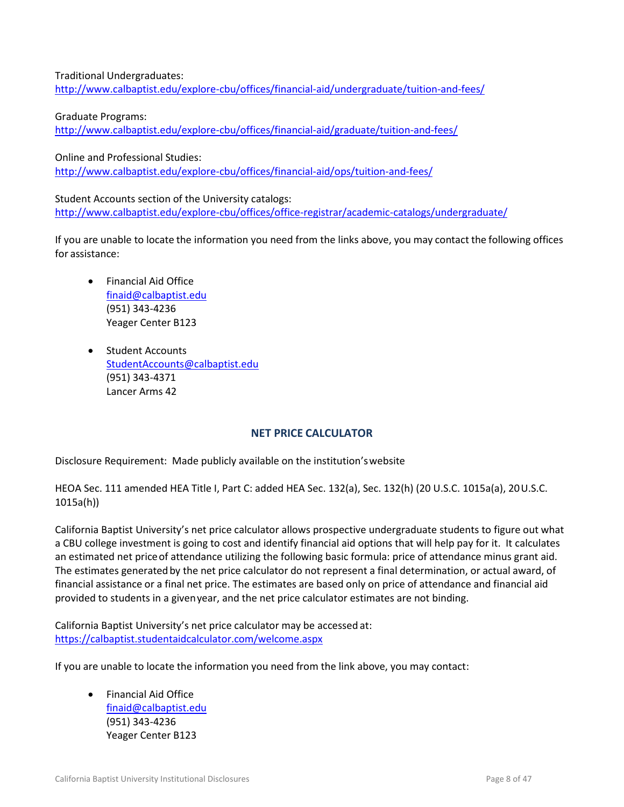Traditional Undergraduates: <http://www.calbaptist.edu/explore-cbu/offices/financial-aid/undergraduate/tuition-and-fees/>

Graduate Programs: <http://www.calbaptist.edu/explore-cbu/offices/financial-aid/graduate/tuition-and-fees/>

Online and Professional Studies:

<http://www.calbaptist.edu/explore-cbu/offices/financial-aid/ops/tuition-and-fees/>

Student Accounts section of the University catalogs: <http://www.calbaptist.edu/explore-cbu/offices/office-registrar/academic-catalogs/undergraduate/>

If you are unable to locate the information you need from the links above, you may contact the following offices for assistance:

- Financial Aid Office [finaid@calbaptist.edu](mailto:finaid@calbaptist.edu) (951) 343-4236 Yeager Center B123
- Student Accounts [StudentAccounts@calbaptist.edu](mailto:StudentAccounts@calbaptist.edu) (951) 343-4371 Lancer Arms 42

# **NET PRICE CALCULATOR**

<span id="page-7-0"></span>Disclosure Requirement: Made publicly available on the institution'swebsite

HEOA Sec. 111 amended HEA Title I, Part C: added HEA Sec. 132(a), Sec. 132(h) (20 U.S.C. 1015a(a), 20U.S.C. 1015a(h))

California Baptist University's net price calculator allows prospective undergraduate students to figure out what a CBU college investment is going to cost and identify financial aid options that will help pay for it. It calculates an estimated net price of attendance utilizing the following basic formula: price of attendance minus grant aid. The estimates generated by the net price calculator do not represent a final determination, or actual award, of financial assistance or a final net price. The estimates are based only on price of attendance and financial aid provided to students in a givenyear, and the net price calculator estimates are not binding.

California Baptist University's net price calculator may be accessed at: <https://calbaptist.studentaidcalculator.com/welcome.aspx>

If you are unable to locate the information you need from the link above, you may contact:

 Financial Aid Office [finaid@calbaptist.edu](mailto:finaid@calbaptist.edu) (951) 343-4236 Yeager Center B123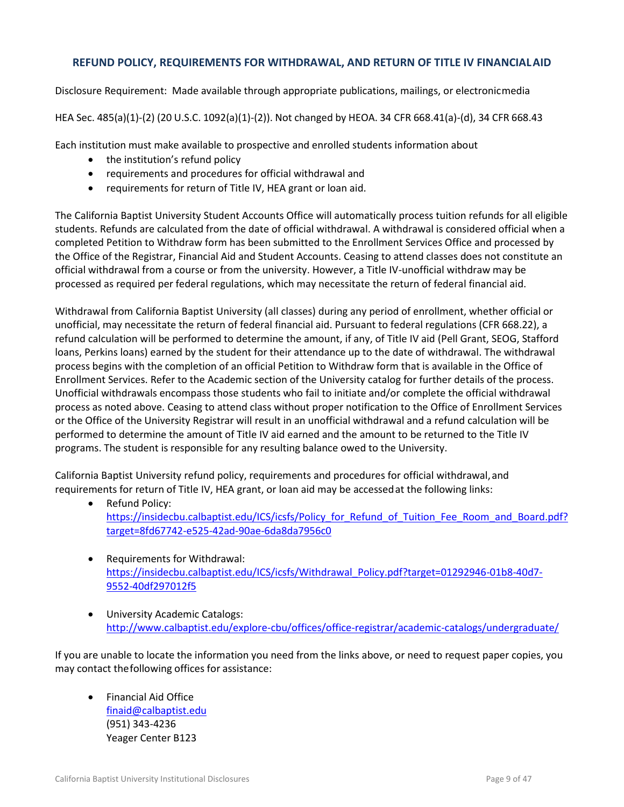### <span id="page-8-0"></span>**REFUND POLICY, REQUIREMENTS FOR WITHDRAWAL, AND RETURN OF TITLE IV FINANCIALAID**

Disclosure Requirement: Made available through appropriate publications, mailings, or electronicmedia

HEA Sec. 485(a)(1)-(2) (20 U.S.C. 1092(a)(1)-(2)). Not changed by HEOA. 34 CFR 668.41(a)-(d), 34 CFR 668.43

Each institution must make available to prospective and enrolled students information about

- the institution's refund policy
- requirements and procedures for official withdrawal and
- requirements for return of Title IV, HEA grant or loan aid.

The California Baptist University Student Accounts Office will automatically process tuition refunds for all eligible students. Refunds are calculated from the date of official withdrawal. A withdrawal is considered official when a completed Petition to Withdraw form has been submitted to the Enrollment Services Office and processed by the Office of the Registrar, Financial Aid and Student Accounts. Ceasing to attend classes does not constitute an official withdrawal from a course or from the university. However, a Title IV-unofficial withdraw may be processed as required per federal regulations, which may necessitate the return of federal financial aid.

Withdrawal from California Baptist University (all classes) during any period of enrollment, whether official or unofficial, may necessitate the return of federal financial aid. Pursuant to federal regulations (CFR 668.22), a refund calculation will be performed to determine the amount, if any, of Title IV aid (Pell Grant, SEOG, Stafford loans, Perkins loans) earned by the student for their attendance up to the date of withdrawal. The withdrawal process begins with the completion of an official Petition to Withdraw form that is available in the Office of Enrollment Services. Refer to the Academic section of the University catalog for further details of the process. Unofficial withdrawals encompass those students who fail to initiate and/or complete the official withdrawal process as noted above. Ceasing to attend class without proper notification to the Office of Enrollment Services or the Office of the University Registrar will result in an unofficial withdrawal and a refund calculation will be performed to determine the amount of Title IV aid earned and the amount to be returned to the Title IV programs. The student is responsible for any resulting balance owed to the University.

California Baptist University refund policy, requirements and procedures for official withdrawal,and requirements for return of Title IV, HEA grant, or loan aid may be accessedat the following links:

- Refund Policy: https://insidecbu.calbaptist.edu/ICS/icsfs/Policy for Refund of Tuition Fee Room and Board.pdf? [target=8fd67742-e525-42ad-90ae-6da8da7956c0](https://insidecbu.calbaptist.edu/ICS/icsfs/Policy_for_Refund_of_Tuition_Fee_Room_and_Board.pdf?target=8fd67742-e525-42ad-90ae-6da8da7956c0)
- Requirements for Withdrawal: [https://insidecbu.calbaptist.edu/ICS/icsfs/Withdrawal\\_Policy.pdf?target=01292946-01b8-40d7-](https://insidecbu.calbaptist.edu/ICS/icsfs/Withdrawal_Policy.pdf?target=01292946-01b8-40d7-9552-40df297012f5) [9552-40df297012f5](https://insidecbu.calbaptist.edu/ICS/icsfs/Withdrawal_Policy.pdf?target=01292946-01b8-40d7-9552-40df297012f5)
- University Academic Catalogs: <http://www.calbaptist.edu/explore-cbu/offices/office-registrar/academic-catalogs/undergraduate/>

If you are unable to locate the information you need from the links above, or need to request paper copies, you may contact thefollowing offices for assistance:

 Financial Aid Office [finaid@calbaptist.edu](mailto:finaid@calbaptist.edu) (951) 343-4236 Yeager Center B123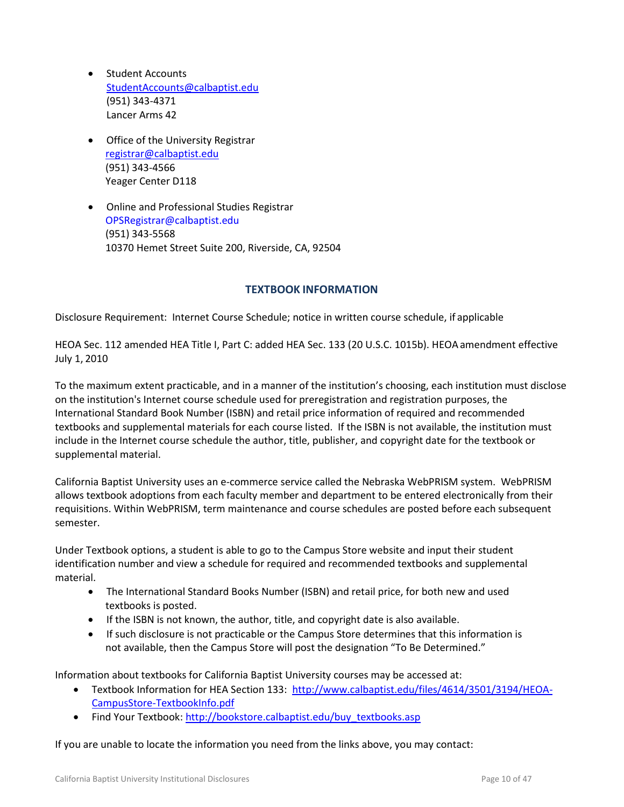- Student Accounts [StudentAccounts@calbaptist.edu](mailto:StudentAccounts@calbaptist.edu) (951) 343-4371 Lancer Arms 42
- **•** Office of the University Registrar [registrar@calbaptist.edu](mailto:registrar@calbaptist.edu)  (951) 343-4566 Yeager Center D118
- Online and Professional Studies Registrar OPSRegistrar@calbaptist.edu (951) 343-5568 10370 Hemet Street Suite 200, Riverside, CA, 92504

#### **TEXTBOOK INFORMATION**

<span id="page-9-0"></span>Disclosure Requirement: Internet Course Schedule; notice in written course schedule, if applicable

HEOA Sec. 112 amended HEA Title I, Part C: added HEA Sec. 133 (20 U.S.C. 1015b). HEOAamendment effective July 1, 2010

To the maximum extent practicable, and in a manner of the institution's choosing, each institution must disclose on the institution's Internet course schedule used for preregistration and registration purposes, the International Standard Book Number (ISBN) and retail price information of required and recommended textbooks and supplemental materials for each course listed. If the ISBN is not available, the institution must include in the Internet course schedule the author, title, publisher, and copyright date for the textbook or supplemental material.

California Baptist University uses an e-commerce service called the Nebraska WebPRISM system. WebPRISM allows textbook adoptions from each faculty member and department to be entered electronically from their requisitions. Within WebPRISM, term maintenance and course schedules are posted before each subsequent semester.

Under Textbook options, a student is able to go to the Campus Store website and input their student identification number and view a schedule for required and recommended textbooks and supplemental material.

- The International Standard Books Number (ISBN) and retail price, for both new and used textbooks is posted.
- If the ISBN is not known, the author, title, and copyright date is also available.
- If such disclosure is not practicable or the Campus Store determines that this information is not available, then the Campus Store will post the designation "To Be Determined."

Information about textbooks for California Baptist University courses may be accessed at:

- Textbook Information for HEA Section 133: [http://www.calbaptist.edu/files/4614/3501/3194/HEOA-](http://www.calbaptist.edu/files/4614/3501/3194/HEOA-CampusStore-TextbookInfo.pdf)[CampusStore-TextbookInfo.pdf](http://www.calbaptist.edu/files/4614/3501/3194/HEOA-CampusStore-TextbookInfo.pdf)
- Find Your Textbook: [http://bookstore.calbaptist.edu/buy\\_textbooks.asp](http://bookstore.calbaptist.edu/buy_textbooks.asp)

If you are unable to locate the information you need from the links above, you may contact: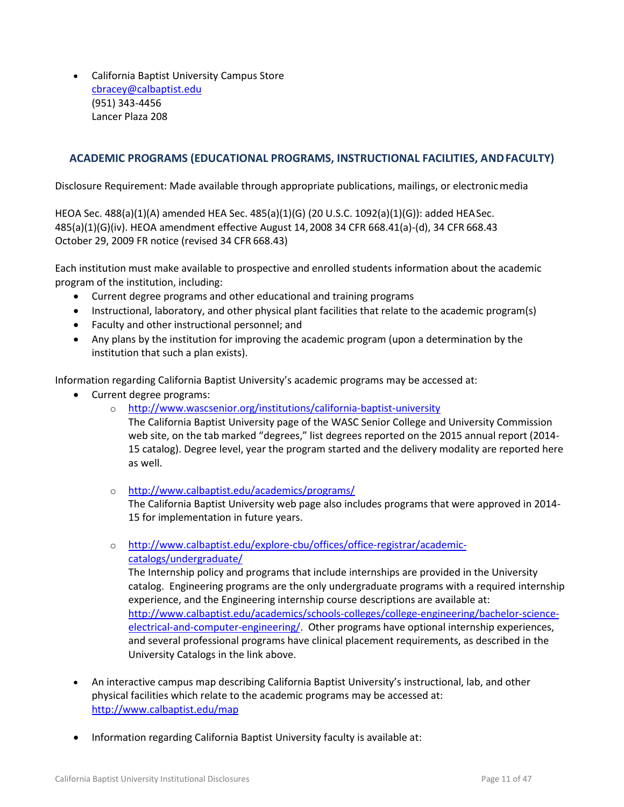California Baptist University Campus Store [cbracey@calbaptist.edu](mailto:cbracey@calbaptist.edu) (951) 343-4456 Lancer Plaza 208

### <span id="page-10-0"></span>**ACADEMIC PROGRAMS (EDUCATIONAL PROGRAMS, INSTRUCTIONAL FACILITIES, ANDFACULTY)**

Disclosure Requirement: Made available through appropriate publications, mailings, or electronicmedia

HEOA Sec. 488(a)(1)(A) amended HEA Sec. 485(a)(1)(G) (20 U.S.C. 1092(a)(1)(G)): added HEASec. 485(a)(1)(G)(iv). HEOA amendment effective August 14,2008 34 CFR 668.41(a)-(d), 34 CFR 668.43 October 29, 2009 FR notice (revised 34 CFR 668.43)

Each institution must make available to prospective and enrolled students information about the academic program of the institution, including:

- Current degree programs and other educational and training programs
- Instructional, laboratory, and other physical plant facilities that relate to the academic program(s)
- Faculty and other instructional personnel; and
- Any plans by the institution for improving the academic program (upon a determination by the institution that such a plan exists).

Information regarding California Baptist University's academic programs may be accessed at:

- Current degree programs:
	- o <http://www.wascsenior.org/institutions/california-baptist-university>
		- The California Baptist University page of the WASC Senior College and University Commission web site, on the tab marked "degrees," list degrees reported on the 2015 annual report (2014- 15 catalog). Degree level, year the program started and the delivery modality are reported here as well.
	- o <http://www.calbaptist.edu/academics/programs/>

The California Baptist University web page also includes programs that were approved in 2014- 15 for implementation in future years.

o [http://www.calbaptist.edu/explore-cbu/offices/office-registrar/academic](http://www.calbaptist.edu/explore-cbu/offices/office-registrar/academic-catalogs/undergraduate/)[catalogs/undergraduate/](http://www.calbaptist.edu/explore-cbu/offices/office-registrar/academic-catalogs/undergraduate/)

The Internship policy and programs that include internships are provided in the University catalog. Engineering programs are the only undergraduate programs with a required internship experience, and the Engineering internship course descriptions are available at: [http://www.calbaptist.edu/academics/schools-colleges/college-engineering/bachelor-science](http://www.calbaptist.edu/academics/schools-colleges/college-engineering/bachelor-science-electrical-and-computer-engineering/)[electrical-and-computer-engineering/.](http://www.calbaptist.edu/academics/schools-colleges/college-engineering/bachelor-science-electrical-and-computer-engineering/) Other programs have optional internship experiences, and several professional programs have clinical placement requirements, as described in the University Catalogs in the link above.

- An interactive campus map describing California Baptist University's instructional, lab, and other physical facilities which relate to the academic programs may be accessed at: <http://www.calbaptist.edu/map>
- Information regarding California Baptist University faculty is available at: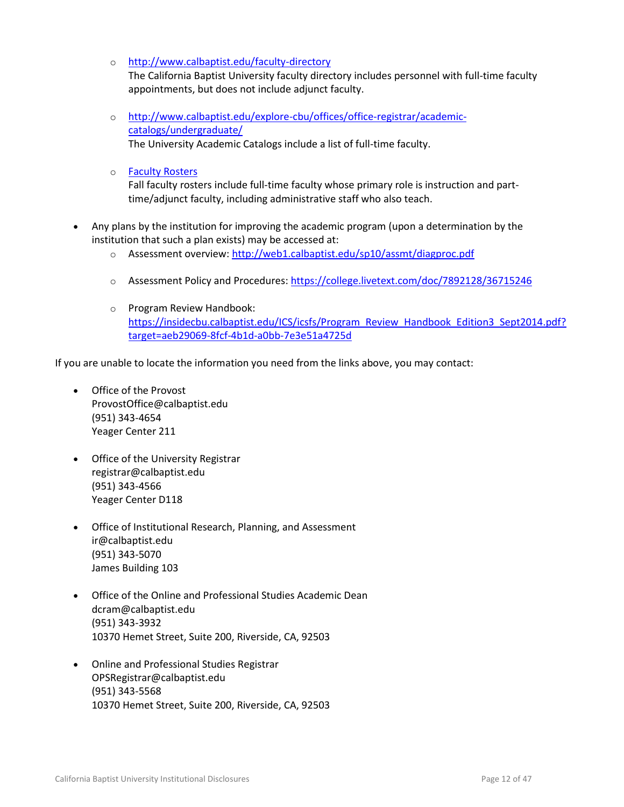o <http://www.calbaptist.edu/faculty-directory>

The California Baptist University faculty directory includes personnel with full-time faculty appointments, but does not include adjunct faculty.

- o [http://www.calbaptist.edu/explore-cbu/offices/office-registrar/academic](http://www.calbaptist.edu/explore-cbu/offices/office-registrar/academic-catalogs/undergraduate/)[catalogs/undergraduate/](http://www.calbaptist.edu/explore-cbu/offices/office-registrar/academic-catalogs/undergraduate/) The University Academic Catalogs include a list of full-time faculty.
- o [Faculty Rosters](https://insidecbu.calbaptist.edu/ICS/icsfs/HEOA_FA14_Faculty_Roster.pdf?target=1665882e-2975-4740-8918-e0cc5ec3bcfd)

Fall faculty rosters include full-time faculty whose primary role is instruction and parttime/adjunct faculty, including administrative staff who also teach.

- Any plans by the institution for improving the academic program (upon a determination by the institution that such a plan exists) may be accessed at:
	- o Assessment overview[: http://web1.calbaptist.edu/sp10/assmt/diagproc.pdf](http://web1.calbaptist.edu/sp10/assmt/diagproc.pdf)
	- o Assessment Policy and Procedures:<https://college.livetext.com/doc/7892128/36715246>
	- o Program Review Handbook: [https://insidecbu.calbaptist.edu/ICS/icsfs/Program\\_Review\\_Handbook\\_Edition3\\_Sept2014.pdf?](https://insidecbu.calbaptist.edu/ICS/icsfs/Program_Review_Handbook_Edition3_Sept2014.pdf?target=aeb29069-8fcf-4b1d-a0bb-7e3e51a4725d) [target=aeb29069-8fcf-4b1d-a0bb-7e3e51a4725d](https://insidecbu.calbaptist.edu/ICS/icsfs/Program_Review_Handbook_Edition3_Sept2014.pdf?target=aeb29069-8fcf-4b1d-a0bb-7e3e51a4725d)

If you are unable to locate the information you need from the links above, you may contact:

- Office of the Provost ProvostOffice@calbaptist.edu (951) 343-4654 Yeager Center 211
- Office of the University Registrar registrar@calbaptist.edu (951) 343-4566 Yeager Center D118
- Office of Institutional Research, Planning, and Assessment ir@calbaptist.edu (951) 343-5070 James Building 103
- Office of the Online and Professional Studies Academic Dean dcram@calbaptist.edu (951) 343-3932 10370 Hemet Street, Suite 200, Riverside, CA, 92503
- Online and Professional Studies Registrar OPSRegistrar@calbaptist.edu (951) 343-5568 10370 Hemet Street, Suite 200, Riverside, CA, 92503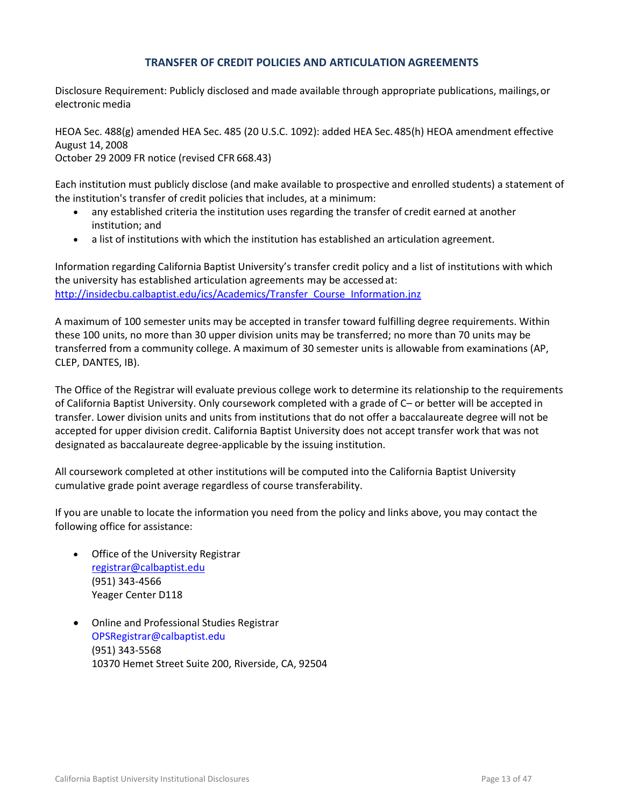### **TRANSFER OF CREDIT POLICIES AND ARTICULATION AGREEMENTS**

<span id="page-12-0"></span>Disclosure Requirement: Publicly disclosed and made available through appropriate publications, mailings, or electronic media

HEOA Sec. 488(g) amended HEA Sec. 485 (20 U.S.C. 1092): added HEA Sec.485(h) HEOA amendment effective August 14, 2008 October 29 2009 FR notice (revised CFR 668.43)

Each institution must publicly disclose (and make available to prospective and enrolled students) a statement of the institution's transfer of credit policies that includes, at a minimum:

- any established criteria the institution uses regarding the transfer of credit earned at another institution; and
- a list of institutions with which the institution has established an articulation agreement.

Information regarding California Baptist University's transfer credit policy and a list of institutions with which the university has established articulation agreements may be accessed at: [http://insidecbu.calbaptist.edu/ics/Academics/Transfer\\_Course\\_Information.jnz](http://insidecbu.calbaptist.edu/ics/Academics/Transfer_Course_Information.jnz)

A maximum of 100 semester units may be accepted in transfer toward fulfilling degree requirements. Within these 100 units, no more than 30 upper division units may be transferred; no more than 70 units may be transferred from a community college. A maximum of 30 semester units is allowable from examinations (AP, CLEP, DANTES, IB).

The Office of the Registrar will evaluate previous college work to determine its relationship to the requirements of California Baptist University. Only coursework completed with a grade of C– or better will be accepted in transfer. Lower division units and units from institutions that do not offer a baccalaureate degree will not be accepted for upper division credit. California Baptist University does not accept transfer work that was not designated as baccalaureate degree-applicable by the issuing institution.

All coursework completed at other institutions will be computed into the California Baptist University cumulative grade point average regardless of course transferability.

If you are unable to locate the information you need from the policy and links above, you may contact the following office for assistance:

- Office of the University Registrar [registrar@calbaptist.edu](mailto:registrar@calbaptist.edu) (951) 343-4566 Yeager Center D118
- Online and Professional Studies Registrar OPSRegistrar@calbaptist.edu (951) 343-5568 10370 Hemet Street Suite 200, Riverside, CA, 92504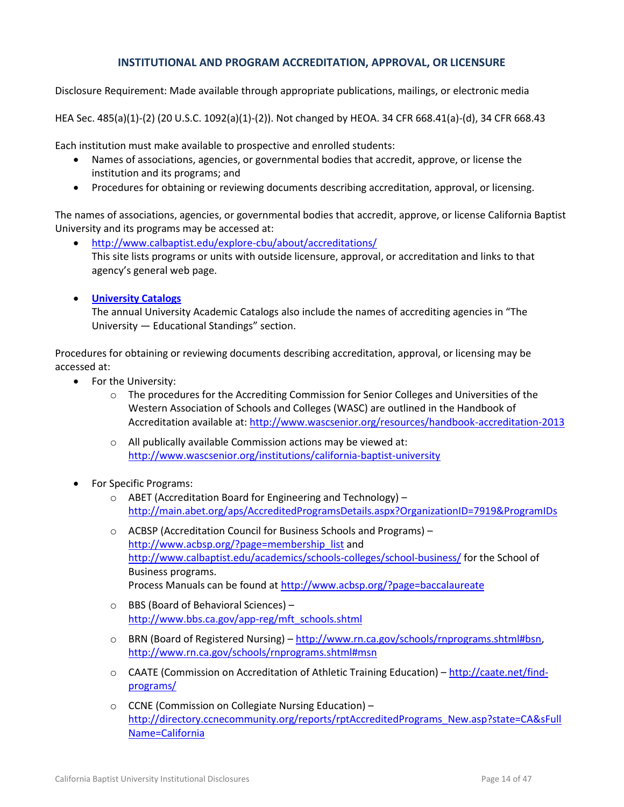### **INSTITUTIONAL AND PROGRAM ACCREDITATION, APPROVAL, OR LICENSURE**

<span id="page-13-0"></span>Disclosure Requirement: Made available through appropriate publications, mailings, or electronic media

HEA Sec. 485(a)(1)-(2) (20 U.S.C. 1092(a)(1)-(2)). Not changed by HEOA. 34 CFR 668.41(a)-(d), 34 CFR 668.43

Each institution must make available to prospective and enrolled students:

- Names of associations, agencies, or governmental bodies that accredit, approve, or license the institution and its programs; and
- Procedures for obtaining or reviewing documents describing accreditation, approval, or licensing.

The names of associations, agencies, or governmental bodies that accredit, approve, or license California Baptist University and its programs may be accessed at:

- <http://www.calbaptist.edu/explore-cbu/about/accreditations/> This site lists programs or units with outside licensure, approval, or accreditation and links to that agency's general web page.
- **[University Catalogs](http://www.calbaptist.edu/explore-cbu/offices/office-registrar/academic-catalogs)**

The annual University Academic Catalogs also include the names of accrediting agencies in "The University — Educational Standings" section.

Procedures for obtaining or reviewing documents describing accreditation, approval, or licensing may be accessed at:

- For the University:
	- $\circ$  The procedures for the Accrediting Commission for Senior Colleges and Universities of the Western Association of Schools and Colleges (WASC) are outlined in the Handbook of Accreditation available at:<http://www.wascsenior.org/resources/handbook-accreditation-2013>
	- o All publically available Commission actions may be viewed at: <http://www.wascsenior.org/institutions/california-baptist-university>
- For Specific Programs:
	- o ABET (Accreditation Board for Engineering and Technology) <http://main.abet.org/aps/AccreditedProgramsDetails.aspx?OrganizationID=7919&ProgramIDs>
	- o ACBSP (Accreditation Council for Business Schools and Programs) [http://www.acbsp.org/?page=membership\\_list](http://www.acbsp.org/?page=membership_list) and <http://www.calbaptist.edu/academics/schools-colleges/school-business/> for the School of Business programs. Process Manuals can be found a[t http://www.acbsp.org/?page=baccalaureate](http://www.acbsp.org/?page=baccalaureate)
	- o BBS (Board of Behavioral Sciences) [http://www.bbs.ca.gov/app-reg/mft\\_schools.shtml](http://www.bbs.ca.gov/app-reg/mft_schools.shtml)
	- o BRN (Board of Registered Nursing) [http://www.rn.ca.gov/schools/rnprograms.shtml#bsn,](http://www.rn.ca.gov/schools/rnprograms.shtml#bsn) <http://www.rn.ca.gov/schools/rnprograms.shtml#msn>
	- o CAATE (Commission on Accreditation of Athletic Training Education) [http://caate.net/find](http://caate.net/find-programs/)[programs/](http://caate.net/find-programs/)
	- o CCNE (Commission on Collegiate Nursing Education) [http://directory.ccnecommunity.org/reports/rptAccreditedPrograms\\_New.asp?state=CA&sFull](http://directory.ccnecommunity.org/reports/rptAccreditedPrograms_New.asp?state=CA&sFullName=California) [Name=California](http://directory.ccnecommunity.org/reports/rptAccreditedPrograms_New.asp?state=CA&sFullName=California)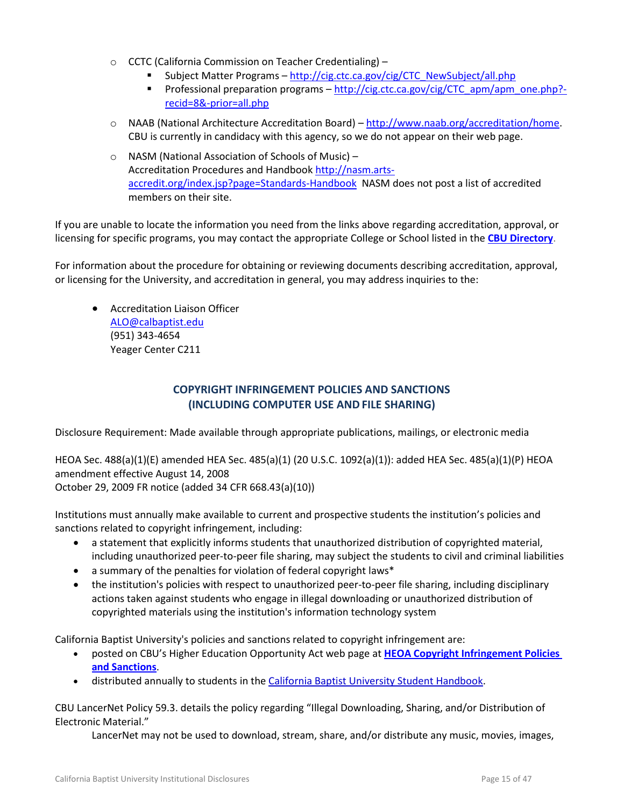- o CCTC (California Commission on Teacher Credentialing)
	- Subject Matter Programs [http://cig.ctc.ca.gov/cig/CTC\\_NewSubject/all.php](http://cig.ctc.ca.gov/cig/CTC_NewSubject/all.php)
	- Professional preparation programs [http://cig.ctc.ca.gov/cig/CTC\\_apm/apm\\_one.php?](http://cig.ctc.ca.gov/cig/CTC_apm/apm_one.php?-recid=8&-prior=all.php) [recid=8&-prior=all.php](http://cig.ctc.ca.gov/cig/CTC_apm/apm_one.php?-recid=8&-prior=all.php)
- o NAAB (National Architecture Accreditation Board) [http://www.naab.org/accreditation/home.](http://www.naab.org/accreditation/home) CBU is currently in candidacy with this agency, so we do not appear on their web page.
- o NASM (National Association of Schools of Music) Accreditation Procedures and Handboo[k http://nasm.arts](http://nasm.arts-accredit.org/index.jsp?page=Standards-Handbook)[accredit.org/index.jsp?page=Standards-Handbook](http://nasm.arts-accredit.org/index.jsp?page=Standards-Handbook) NASM does not post a list of accredited members on their site.

If you are unable to locate the information you need from the links above regarding accreditation, approval, or licensing for specific programs, you may contact the appropriate College or School listed in the **[CBU Directory](http://www.calbaptist.edu/explore-cbu/directory/)**.

For information about the procedure for obtaining or reviewing documents describing accreditation, approval, or licensing for the University, and accreditation in general, you may address inquiries to the:

 Accreditation Liaison Officer [ALO@calbaptist.edu](mailto:ALO@calbaptist.edu) (951) 343-4654 Yeager Center C211

# **COPYRIGHT INFRINGEMENT POLICIES AND SANCTIONS (INCLUDING COMPUTER USE AND FILE SHARING)**

<span id="page-14-1"></span><span id="page-14-0"></span>Disclosure Requirement: Made available through appropriate publications, mailings, or electronic media

HEOA Sec. 488(a)(1)(E) amended HEA Sec. 485(a)(1) (20 U.S.C. 1092(a)(1)): added HEA Sec. 485(a)(1)(P) HEOA amendment effective August 14, 2008 October 29, 2009 FR notice (added 34 CFR 668.43(a)(10))

Institutions must annually make available to current and prospective students the institution's policies and sanctions related to copyright infringement, including:

- a statement that explicitly informs students that unauthorized distribution of copyrighted material, including unauthorized peer-to-peer file sharing, may subject the students to civil and criminal liabilities
- a summary of the penalties for violation of federal copyright laws\*
- the institution's policies with respect to unauthorized peer-to-peer file sharing, including disciplinary actions taken against students who engage in illegal downloading or unauthorized distribution of copyrighted materials using the institution's information technology system

California Baptist University's policies and sanctions related to copyright infringement are:

- posted on CBU's Higher Education Opportunity Act web page at **[HEOA Copyright Infringement Policies](https://insidecbu.calbaptist.edu/ICS/icsfs/COPYRIGHT_INFRINGEMENT_POLICIES_AND_SANCTIONS.pdf?target=c5d71cc5-810f-4d98-82b1-6744aa09d9e8)  [and Sanctions](https://insidecbu.calbaptist.edu/ICS/icsfs/COPYRIGHT_INFRINGEMENT_POLICIES_AND_SANCTIONS.pdf?target=c5d71cc5-810f-4d98-82b1-6744aa09d9e8)**.
- distributed annually to students in the [California Baptist University](http://www.thezonelive.com/SchoolStructure/CA_CaliforniaBaptistCollege/handbook.pdf) Student Handbook.

CBU LancerNet Policy 59.3. details the policy regarding "Illegal Downloading, Sharing, and/or Distribution of Electronic Material."

LancerNet may not be used to download, stream, share, and/or distribute any music, movies, images,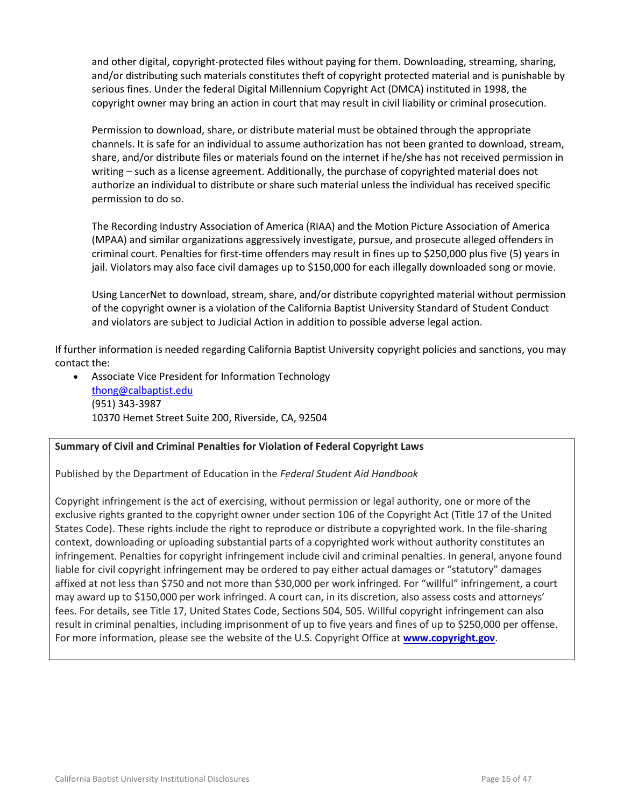and other digital, copyright-protected files without paying for them. Downloading, streaming, sharing, and/or distributing such materials constitutes theft of copyright protected material and is punishable by serious fines. Under the federal Digital Millennium Copyright Act (DMCA) instituted in 1998, the copyright owner may bring an action in court that may result in civil liability or criminal prosecution.

Permission to download, share, or distribute material must be obtained through the appropriate channels. It is safe for an individual to assume authorization has not been granted to download, stream, share, and/or distribute files or materials found on the internet if he/she has not received permission in writing – such as a license agreement. Additionally, the purchase of copyrighted material does not authorize an individual to distribute or share such material unless the individual has received specific permission to do so.

The Recording Industry Association of America (RIAA) and the Motion Picture Association of America (MPAA) and similar organizations aggressively investigate, pursue, and prosecute alleged offenders in criminal court. Penalties for first-time offenders may result in fines up to \$250,000 plus five (5) years in jail. Violators may also face civil damages up to \$150,000 for each illegally downloaded song or movie.

Using LancerNet to download, stream, share, and/or distribute copyrighted material without permission of the copyright owner is a violation of the California Baptist University Standard of Student Conduct and violators are subject to Judicial Action in addition to possible adverse legal action.

If further information is needed regarding California Baptist University copyright policies and sanctions, you may contact the:

 Associate Vice President for Information Technology [thong@calbaptist.edu](mailto:thong@calbaptist.edu) (951) 343-3987 10370 Hemet Street Suite 200, Riverside, CA, 92504

#### **Summary of Civil and Criminal Penalties for Violation of Federal Copyright Laws**

Published by the Department of Education in the *Federal Student Aid Handbook*

Copyright infringement is the act of exercising, without permission or legal authority, one or more of the exclusive rights granted to the copyright owner under section 106 of the Copyright Act (Title 17 of the United States Code). These rights include the right to reproduce or distribute a copyrighted work. In the file-sharing context, downloading or uploading substantial parts of a copyrighted work without authority constitutes an infringement. Penalties for copyright infringement include civil and criminal penalties. In general, anyone found liable for civil copyright infringement may be ordered to pay either actual damages or "statutory" damages affixed at not less than \$750 and not more than \$30,000 per work infringed. For "willful" infringement, a court may award up to \$150,000 per work infringed. A court can, in its discretion, also assess costs and attorneys' fees. For details, see Title 17, United States Code, Sections 504, 505. Willful copyright infringement can also result in criminal penalties, including imprisonment of up to five years and fines of up to \$250,000 per offense. For more information, please see the website of the U.S. Copyright Office at **[www.copyright.gov](http://www.copyright.gov/)**.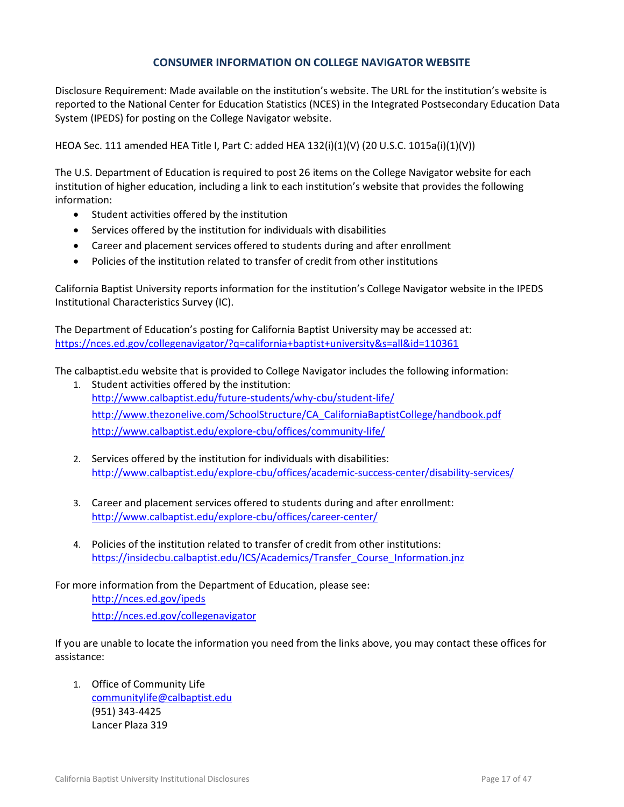#### **CONSUMER INFORMATION ON COLLEGE NAVIGATOR WEBSITE**

<span id="page-16-0"></span>Disclosure Requirement: Made available on the institution's website. The URL for the institution's website is reported to the National Center for Education Statistics (NCES) in the Integrated Postsecondary Education Data System (IPEDS) for posting on the College Navigator website.

HEOA Sec. 111 amended HEA Title I, Part C: added HEA 132(i)(1)(V) (20 U.S.C. 1015a(i)(1)(V))

The U.S. Department of Education is required to post 26 items on the College Navigator website for each institution of higher education, including a link to each institution's website that provides the following information:

- Student activities offered by the institution
- Services offered by the institution for individuals with disabilities
- Career and placement services offered to students during and after enrollment
- Policies of the institution related to transfer of credit from other institutions

California Baptist University reports information for the institution's College Navigator website in the IPEDS Institutional Characteristics Survey (IC).

The Department of Education's posting for California Baptist University may be accessed at: <https://nces.ed.gov/collegenavigator/?q=california+baptist+university&s=all&id=110361>

The calbaptist.edu website that is provided to College Navigator includes the following information:

- 1. Student activities offered by the institution: <http://www.calbaptist.edu/future-students/why-cbu/student-life/> [http://www.thezonelive.com/SchoolStructure/CA\\_CaliforniaBaptistCollege/handbook.pdf](http://www.thezonelive.com/SchoolStructure/CA_CaliforniaBaptistCollege/handbook.pdf) <http://www.calbaptist.edu/explore-cbu/offices/community-life/>
- 2. Services offered by the institution for individuals with disabilities: <http://www.calbaptist.edu/explore-cbu/offices/academic-success-center/disability-services/>
- 3. Career and placement services offered to students during and after enrollment: <http://www.calbaptist.edu/explore-cbu/offices/career-center/>
- 4. Policies of the institution related to transfer of credit from other institutions: [https://insidecbu.calbaptist.edu/ICS/Academics/Transfer\\_Course\\_Information.jnz](https://insidecbu.calbaptist.edu/ICS/Academics/Transfer_Course_Information.jnz)

For more information from the Department of Education, please see: <http://nces.ed.gov/ipeds> <http://nces.ed.gov/collegenavigator>

If you are unable to locate the information you need from the links above, you may contact these offices for assistance:

1. Office of Community Life [communitylife@calbaptist.edu](mailto:communitylife@calbaptist.edu) (951) 343-4425 Lancer Plaza 319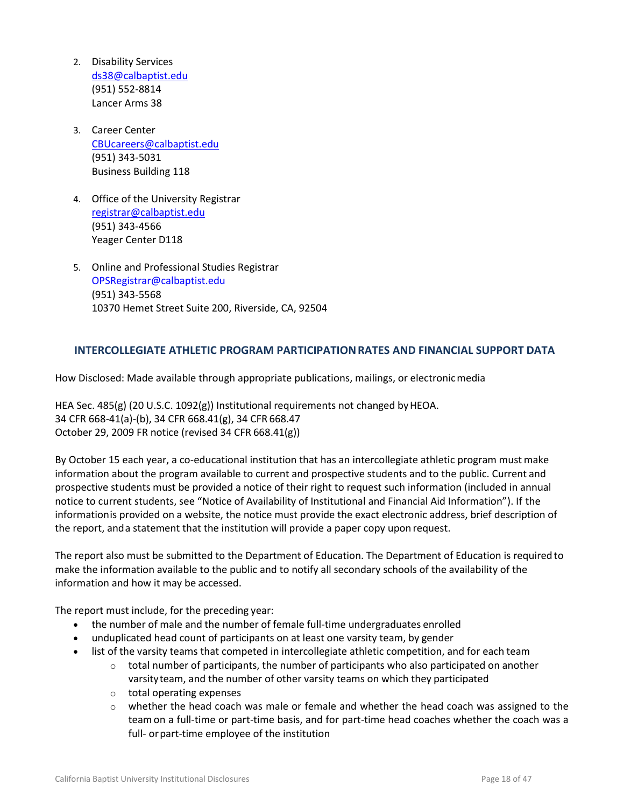- 2. Disability Services [ds38@calbaptist.edu](mailto:ds38@calbaptist.edu) (951) 552-8814 Lancer Arms 38
- 3. Career Center [CBUcareers@calbaptist.edu](mailto:CBUcareers@calbaptist.edu) (951) 343-5031 Business Building 118
- 4. Office of the University Registrar [registrar@calbaptist.edu](mailto:registrar@calbaptist.edu)  (951) 343-4566 Yeager Center D118
- 5. Online and Professional Studies Registrar OPSRegistrar@calbaptist.edu (951) 343-5568 10370 Hemet Street Suite 200, Riverside, CA, 92504

# <span id="page-17-0"></span>**INTERCOLLEGIATE ATHLETIC PROGRAM PARTICIPATIONRATES AND FINANCIAL SUPPORT DATA**

How Disclosed: Made available through appropriate publications, mailings, or electronicmedia

HEA Sec. 485(g) (20 U.S.C. 1092(g)) Institutional requirements not changed by HEOA. 34 CFR 668-41(a)-(b), 34 CFR 668.41(g), 34 CFR 668.47 October 29, 2009 FR notice (revised 34 CFR 668.41(g))

By October 15 each year, a co-educational institution that has an intercollegiate athletic program mustmake information about the program available to current and prospective students and to the public. Current and prospective students must be provided a notice of their right to request such information (included in annual notice to current students, see "Notice of Availability of Institutional and Financial Aid Information"). If the informationis provided on a website, the notice must provide the exact electronic address, brief description of the report, anda statement that the institution will provide a paper copy upon request.

The report also must be submitted to the Department of Education. The Department of Education is required to make the information available to the public and to notify all secondary schools of the availability of the information and how it may be accessed.

The report must include, for the preceding year:

- the number of male and the number of female full-time undergraduates enrolled
- unduplicated head count of participants on at least one varsity team, by gender
- list of the varsity teams that competed in intercollegiate athletic competition, and for each team
	- $\circ$  total number of participants, the number of participants who also participated on another varsityteam, and the number of other varsity teams on which they participated
	- o total operating expenses
	- $\circ$  whether the head coach was male or female and whether the head coach was assigned to the teamon a full-time or part-time basis, and for part-time head coaches whether the coach was a full- or part-time employee of the institution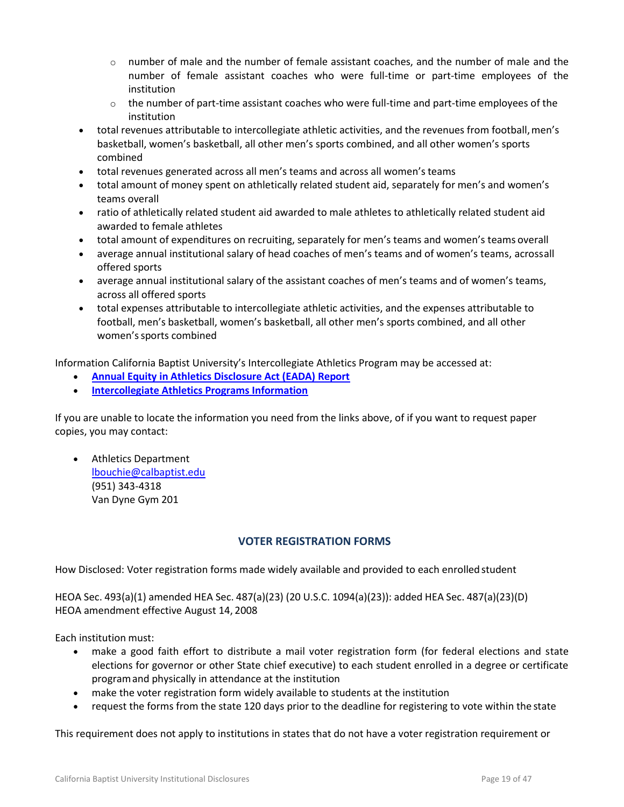- $\circ$  number of male and the number of female assistant coaches, and the number of male and the number of female assistant coaches who were full-time or part-time employees of the institution
- $\circ$  the number of part-time assistant coaches who were full-time and part-time employees of the institution
- total revenues attributable to intercollegiate athletic activities, and the revenues from football,men's basketball, women's basketball, all other men's sports combined, and all other women's sports combined
- total revenues generated across all men's teams and across all women's teams
- total amount of money spent on athletically related student aid, separately for men's and women's teams overall
- ratio of athletically related student aid awarded to male athletes to athletically related student aid awarded to female athletes
- total amount of expenditures on recruiting, separately for men's teams and women's teams overall
- average annual institutional salary of head coaches of men's teams and of women's teams, acrossall offered sports
- average annual institutional salary of the assistant coaches of men's teams and of women's teams, across all offered sports
- total expenses attributable to intercollegiate athletic activities, and the expenses attributable to football, men's basketball, women's basketball, all other men's sports combined, and all other women'ssports combined

Information California Baptist University's Intercollegiate Athletics Program may be accessed at:

- **[Annual Equity in Athletics Disclosure Act \(EADA\) Report](http://www.calbaptist.edu/files/1714/3501/7471/2014_EADA.pdf)**
- **[Intercollegiate Athletics Programs Information](http://www.calbaptist.edu/files/1914/3501/8001/AthleticsInfo.pdf)**

If you are unable to locate the information you need from the links above, of if you want to request paper copies, you may contact:

 Athletics Department [lbouchie@calbaptist.edu](mailto:lbouchie@calbaptist.edu) (951) 343-4318 Van Dyne Gym 201

#### **VOTER REGISTRATION FORMS**

<span id="page-18-0"></span>How Disclosed: Voter registration forms made widely available and provided to each enrolled student

HEOA Sec. 493(a)(1) amended HEA Sec. 487(a)(23) (20 U.S.C. 1094(a)(23)): added HEA Sec. 487(a)(23)(D) HEOA amendment effective August 14, 2008

Each institution must:

- make a good faith effort to distribute a mail voter registration form (for federal elections and state elections for governor or other State chief executive) to each student enrolled in a degree or certificate programand physically in attendance at the institution
- make the voter registration form widely available to students at the institution
- request the forms from the state 120 days prior to the deadline for registering to vote within the state

This requirement does not apply to institutions in states that do not have a voter registration requirement or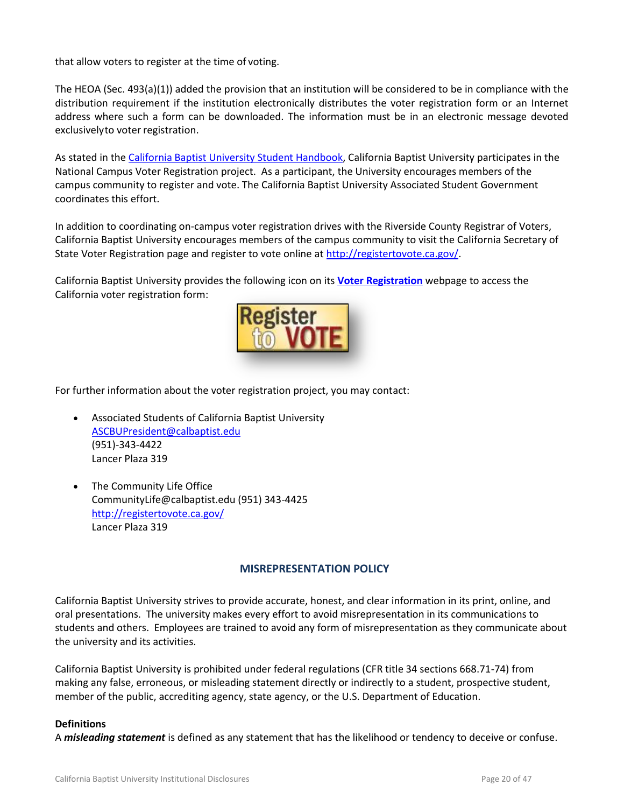that allow voters to register at the time of voting.

The HEOA (Sec. 493(a)(1)) added the provision that an institution will be considered to be in compliance with the distribution requirement if the institution electronically distributes the voter registration form or an Internet address where such a form can be downloaded. The information must be in an electronic message devoted exclusivelyto voter registration.

As stated in the [California Baptist University Student Handbook,](http://www.thezonelive.com/SchoolStructure/CA_CaliforniaBaptistCollege/handbook.pdf) California Baptist University participates in the National Campus Voter Registration project. As a participant, the University encourages members of the campus community to register and vote. The California Baptist University Associated Student Government coordinates this effort.

In addition to coordinating on-campus voter registration drives with the Riverside County Registrar of Voters, California Baptist University encourages members of the campus community to visit the California Secretary of State Voter Registration page and register to vote online at [http://registertovote.ca.gov/.](http://registertovote.ca.gov/)

California Baptist University provides the following icon on its **[Voter Registration](https://insidecbu.calbaptist.edu/ICS/icsfs/HEOA_Voter_Policy.pdf?target=640cc5bf-bd19-4999-b17f-b36d764a7ae1)** webpage to access the California voter registration form:



For further information about the voter registration project, you may contact:

- Associated Students of California Baptist University [ASCBUPresident@calbaptist.edu](mailto:ASCBUPresident@calbaptist.edu) (951)-343-4422 Lancer Plaza 319
- The Community Life Office CommunityLife@calbaptist.edu (951) 343-4425 <http://registertovote.ca.gov/> Lancer Plaza 319

#### **MISREPRESENTATION POLICY**

<span id="page-19-0"></span>California Baptist University strives to provide accurate, honest, and clear information in its print, online, and oral presentations. The university makes every effort to avoid misrepresentation in its communications to students and others. Employees are trained to avoid any form of misrepresentation as they communicate about the university and its activities.

California Baptist University is prohibited under federal regulations (CFR title 34 sections 668.71-74) from making any false, erroneous, or misleading statement directly or indirectly to a student, prospective student, member of the public, accrediting agency, state agency, or the U.S. Department of Education.

#### **Definitions**

A *misleading statement* is defined as any statement that has the likelihood or tendency to deceive or confuse.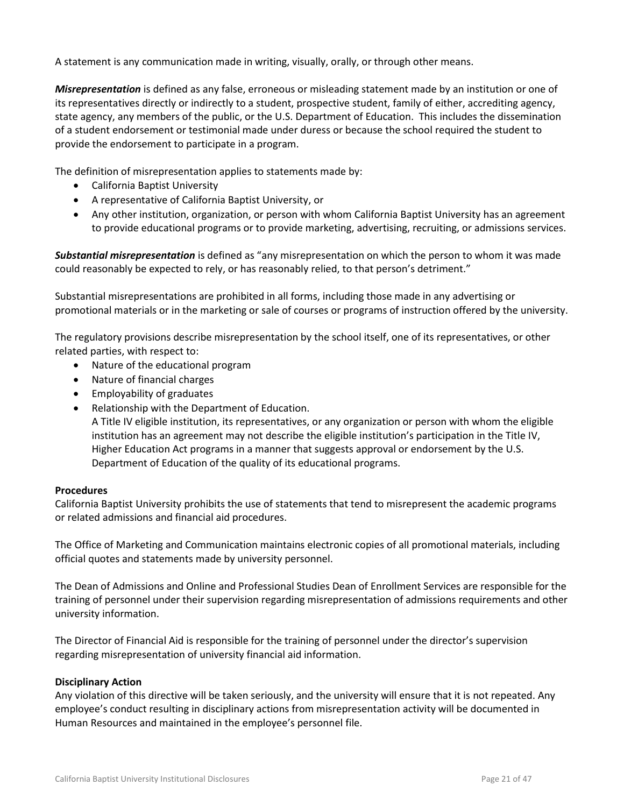A statement is any communication made in writing, visually, orally, or through other means.

*Misrepresentation* is defined as any false, erroneous or misleading statement made by an institution or one of its representatives directly or indirectly to a student, prospective student, family of either, accrediting agency, state agency, any members of the public, or the U.S. Department of Education. This includes the dissemination of a student endorsement or testimonial made under duress or because the school required the student to provide the endorsement to participate in a program.

The definition of misrepresentation applies to statements made by:

- California Baptist University
- A representative of California Baptist University, or
- Any other institution, organization, or person with whom California Baptist University has an agreement to provide educational programs or to provide marketing, advertising, recruiting, or admissions services.

*Substantial misrepresentation* is defined as "any misrepresentation on which the person to whom it was made could reasonably be expected to rely, or has reasonably relied, to that person's detriment."

Substantial misrepresentations are prohibited in all forms, including those made in any advertising or promotional materials or in the marketing or sale of courses or programs of instruction offered by the university.

The regulatory provisions describe misrepresentation by the school itself, one of its representatives, or other related parties, with respect to:

- Nature of the educational program
- Nature of financial charges
- Employability of graduates
- Relationship with the Department of Education.

A Title IV eligible institution, its representatives, or any organization or person with whom the eligible institution has an agreement may not describe the eligible institution's participation in the Title IV, Higher Education Act programs in a manner that suggests approval or endorsement by the U.S. Department of Education of the quality of its educational programs.

#### **Procedures**

California Baptist University prohibits the use of statements that tend to misrepresent the academic programs or related admissions and financial aid procedures.

The Office of Marketing and Communication maintains electronic copies of all promotional materials, including official quotes and statements made by university personnel.

The Dean of Admissions and Online and Professional Studies Dean of Enrollment Services are responsible for the training of personnel under their supervision regarding misrepresentation of admissions requirements and other university information.

The Director of Financial Aid is responsible for the training of personnel under the director's supervision regarding misrepresentation of university financial aid information.

#### **Disciplinary Action**

Any violation of this directive will be taken seriously, and the university will ensure that it is not repeated. Any employee's conduct resulting in disciplinary actions from misrepresentation activity will be documented in Human Resources and maintained in the employee's personnel file.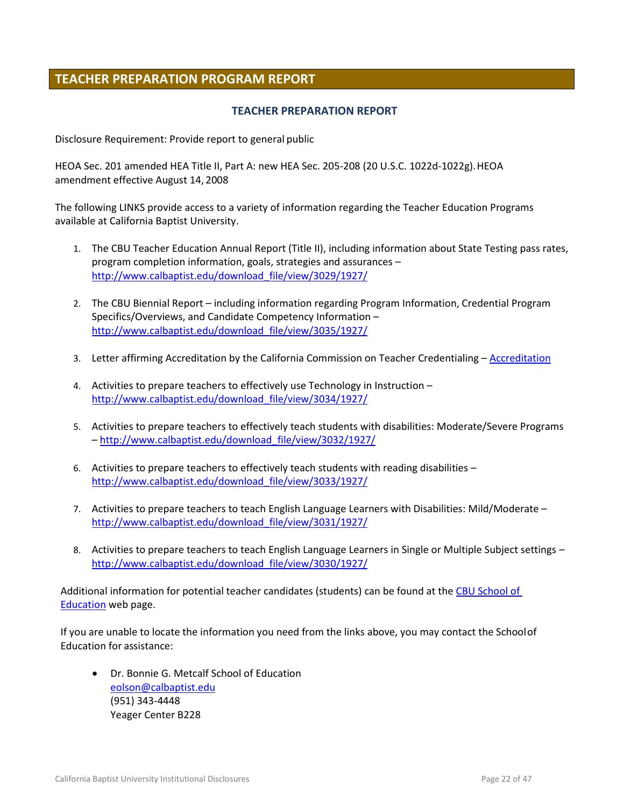# <span id="page-21-0"></span>**TEACHER PREPARATION PROGRAM REPORT**

#### **TEACHER PREPARATION REPORT**

<span id="page-21-1"></span>Disclosure Requirement: Provide report to general public

HEOA Sec. 201 amended HEA Title II, Part A: new HEA Sec. 205-208 (20 U.S.C. 1022d-1022g).HEOA amendment effective August 14, 2008

The following LINKS provide access to a variety of information regarding the Teacher Education Programs available at California Baptist University.

- 1. The CBU Teacher Education Annual Report (Title II), including information about State Testing pass rates, program completion information, goals, strategies and assurances – [http://www.calbaptist.edu/download\\_file/view/3029/1927/](http://www.calbaptist.edu/download_file/view/3029/1927/)
- 2. The CBU Biennial Report including information regarding Program Information, Credential Program Specifics/Overviews, and Candidate Competency Information – [http://www.calbaptist.edu/download\\_file/view/3035/1927/](http://www.calbaptist.edu/download_file/view/3035/1927/)
- 3. Letter affirming Accreditation by the California Commission on Teacher Credentialing [Accreditation](https://info.ctc.ca.gov/fmi/xsl/cnt/2011-03-23%20CBU-Accred%20Letter.pdf?-db=PSD_Program_Sponsors_DB&-lay=web_Accreditation_Reports&-recid=120&-field=COA_Letter)
- 4. Activities to prepare teachers to effectively use Technology in Instruction [http://www.calbaptist.edu/download\\_file/view/3034/1927/](http://www.calbaptist.edu/download_file/view/3034/1927/)
- 5. Activities to prepare teachers to effectively teach students with disabilities: Moderate/Severe Programs – [http://www.calbaptist.edu/download\\_file/view/3032/1927/](http://www.calbaptist.edu/download_file/view/3032/1927/)
- 6. Activities to prepare teachers to effectively teach students with reading disabilities [http://www.calbaptist.edu/download\\_file/view/3033/1927/](http://www.calbaptist.edu/download_file/view/3033/1927/)
- 7. Activities to prepare teachers to teach English Language Learners with Disabilities: Mild/Moderate [http://www.calbaptist.edu/download\\_file/view/3031/1927/](http://www.calbaptist.edu/download_file/view/3031/1927/)
- 8. Activities to prepare teachers to teach English Language Learners in Single or Multiple Subject settings [http://www.calbaptist.edu/download\\_file/view/3030/1927/](http://www.calbaptist.edu/download_file/view/3030/1927/)

Additional information for potential teacher candidates (students) can be found at the [CBU School of](http://www.calbaptist.edu/academics/schools-colleges/school-education/)  [Education](http://www.calbaptist.edu/academics/schools-colleges/school-education/) web page.

If you are unable to locate the information you need from the links above, you may contact the Schoolof Education for assistance:

 Dr. Bonnie G. Metcalf School of Education [eolson@calbaptist.edu](mailto:eolson@calbaptist.edu) (951) 343-4448 Yeager Center B228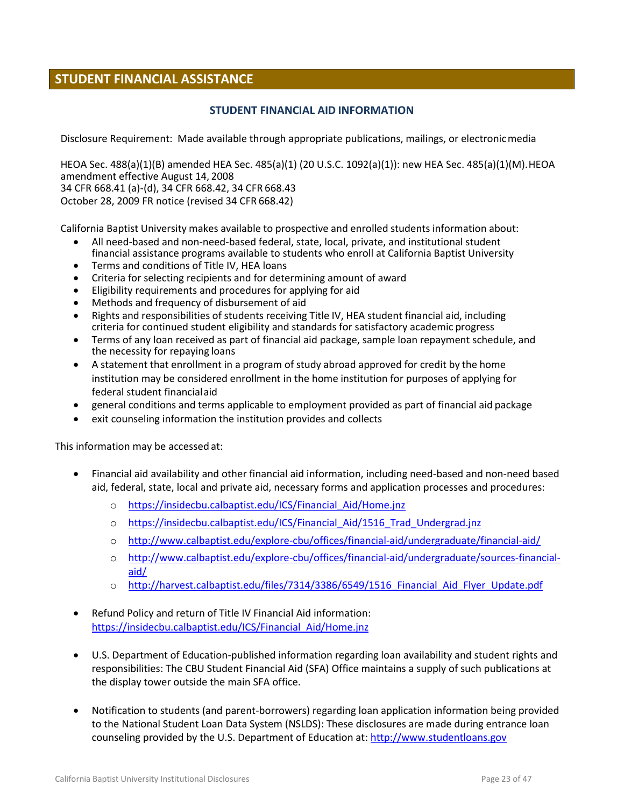# <span id="page-22-1"></span><span id="page-22-0"></span>**STUDENT FINANCIAL ASSISTANCE**

#### **STUDENT FINANCIAL AID INFORMATION**

Disclosure Requirement: Made available through appropriate publications, mailings, or electronicmedia

HEOA Sec. 488(a)(1)(B) amended HEA Sec. 485(a)(1) (20 U.S.C. 1092(a)(1)): new HEA Sec. 485(a)(1)(M).HEOA amendment effective August 14, 2008 34 CFR 668.41 (a)-(d), 34 CFR 668.42, 34 CFR 668.43 October 28, 2009 FR notice (revised 34 CFR 668.42)

California Baptist University makes available to prospective and enrolled students information about:

- All need-based and non-need-based federal, state, local, private, and institutional student financial assistance programs available to students who enroll at California Baptist University
- Terms and conditions of Title IV, HEA loans
- Criteria for selecting recipients and for determining amount of award
- Eligibility requirements and procedures for applying for aid
- Methods and frequency of disbursement of aid
- Rights and responsibilities of students receiving Title IV, HEA student financial aid, including criteria for continued student eligibility and standards for satisfactory academic progress
- Terms of any loan received as part of financial aid package, sample loan repayment schedule, and the necessity for repaying loans
- A statement that enrollment in a program of study abroad approved for credit by the home institution may be considered enrollment in the home institution for purposes of applying for federal student financialaid
- general conditions and terms applicable to employment provided as part of financial aid package
- exit counseling information the institution provides and collects

This information may be accessed at:

- Financial aid availability and other financial aid information, including need-based and non-need based aid, federal, state, local and private aid, necessary forms and application processes and procedures:
	- o https://insidecbu.calbaptist.edu/ICS/Financial Aid/Home.jnz
	- o [https://insidecbu.calbaptist.edu/ICS/Financial\\_Aid/1516\\_Trad\\_Undergrad.jnz](https://insidecbu.calbaptist.edu/ICS/Financial_Aid/1516_Trad_Undergrad.jnz)
	- o <http://www.calbaptist.edu/explore-cbu/offices/financial-aid/undergraduate/financial-aid/>
	- o [http://www.calbaptist.edu/explore-cbu/offices/financial-aid/undergraduate/sources-financial](http://www.calbaptist.edu/explore-cbu/offices/financial-aid/undergraduate/sources-financial-aid/)[aid/](http://www.calbaptist.edu/explore-cbu/offices/financial-aid/undergraduate/sources-financial-aid/)
	- o [http://harvest.calbaptist.edu/files/7314/3386/6549/1516\\_Financial\\_Aid\\_Flyer\\_Update.pdf](http://harvest.calbaptist.edu/files/7314/3386/6549/1516_Financial_Aid_Flyer_Update.pdf)
- Refund Policy and return of Title IV Financial Aid information: [https://insidecbu.calbaptist.edu/ICS/Financial\\_Aid/Home.jnz](https://insidecbu.calbaptist.edu/ICS/Financial_Aid/Home.jnz)
- U.S. Department of Education-published information regarding loan availability and student rights and responsibilities: The CBU Student Financial Aid (SFA) Office maintains a supply of such publications at the display tower outside the main SFA office.
- Notification to students (and parent-borrowers) regarding loan application information being provided to the National Student Loan Data System (NSLDS): These disclosures are made during entrance loan counseling provided by the U.S. Department of Education at: [http://www.studentloans.gov](http://www.studentloans.gov/)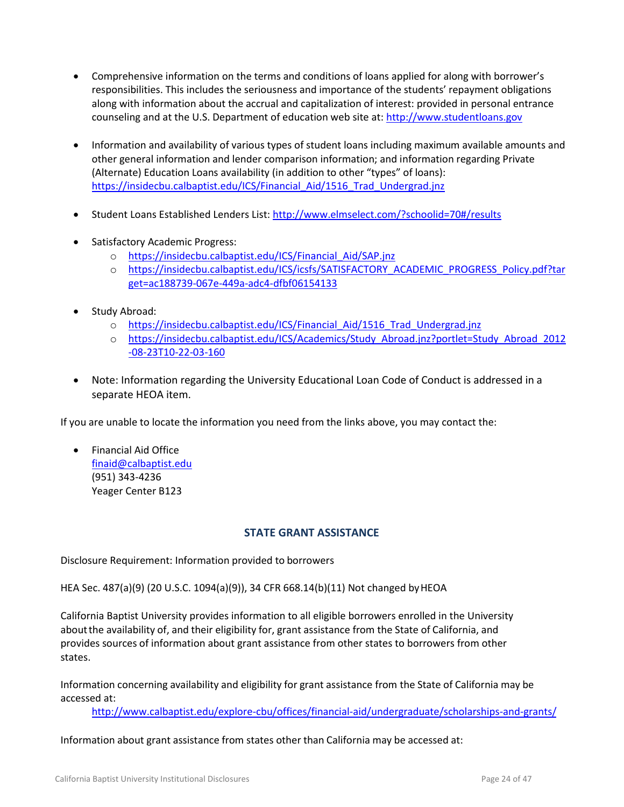- Comprehensive information on the terms and conditions of loans applied for along with borrower's responsibilities. This includes the seriousness and importance of the students' repayment obligations along with information about the accrual and capitalization of interest: provided in personal entrance counseling and at the U.S. Department of education web site at: [http://www.studentloans.gov](http://www.studentloans.gov/)
- Information and availability of various types of student loans including maximum available amounts and other general information and lender comparison information; and information regarding Private (Alternate) Education Loans availability (in addition to other "types" of loans): [https://insidecbu.calbaptist.edu/ICS/Financial\\_Aid/1516\\_Trad\\_Undergrad.jnz](https://insidecbu.calbaptist.edu/ICS/Financial_Aid/1516_Trad_Undergrad.jnz)
- Student Loans Established Lenders List[: http://www.elmselect.com/?schoolid=70#/results](http://www.elmselect.com/?schoolid=70#/results)
- Satisfactory Academic Progress:
	- o [https://insidecbu.calbaptist.edu/ICS/Financial\\_Aid/SAP.jnz](https://insidecbu.calbaptist.edu/ICS/Financial_Aid/SAP.jnz)
	- o [https://insidecbu.calbaptist.edu/ICS/icsfs/SATISFACTORY\\_ACADEMIC\\_PROGRESS\\_Policy.pdf?tar](https://insidecbu.calbaptist.edu/ICS/icsfs/SATISFACTORY_ACADEMIC_PROGRESS_Policy.pdf?target=ac188739-067e-449a-adc4-dfbf06154133) [get=ac188739-067e-449a-adc4-dfbf06154133](https://insidecbu.calbaptist.edu/ICS/icsfs/SATISFACTORY_ACADEMIC_PROGRESS_Policy.pdf?target=ac188739-067e-449a-adc4-dfbf06154133)
- Study Abroad:
	- o https://insidecbu.calbaptist.edu/ICS/Financial Aid/1516 Trad Undergrad.jnz
	- o [https://insidecbu.calbaptist.edu/ICS/Academics/Study\\_Abroad.jnz?portlet=Study\\_Abroad\\_2012](https://insidecbu.calbaptist.edu/ICS/Academics/Study_Abroad.jnz?portlet=Study_Abroad_2012-08-23T10-22-03-160) [-08-23T10-22-03-160](https://insidecbu.calbaptist.edu/ICS/Academics/Study_Abroad.jnz?portlet=Study_Abroad_2012-08-23T10-22-03-160)
- Note: Information regarding the University Educational Loan Code of Conduct is addressed in a separate HEOA item.

If you are unable to locate the information you need from the links above, you may contact the:

 Financial Aid Office [finaid@calbaptist.edu](mailto:finaid@calbaptist.edu) (951) 343-4236 Yeager Center B123

#### **STATE GRANT ASSISTANCE**

<span id="page-23-0"></span>Disclosure Requirement: Information provided to borrowers

HEA Sec. 487(a)(9) (20 U.S.C. 1094(a)(9)), 34 CFR 668.14(b)(11) Not changed byHEOA

California Baptist University provides information to all eligible borrowers enrolled in the University aboutthe availability of, and their eligibility for, grant assistance from the State of California, and provides sources of information about grant assistance from other states to borrowers from other states.

Information concerning availability and eligibility for grant assistance from the State of California may be accessed at:

<http://www.calbaptist.edu/explore-cbu/offices/financial-aid/undergraduate/scholarships-and-grants/>

[Information](http://wdcrobcolp01.ed.gov/Programs/EROD/org_list.cfm?category_ID=SHE) about grant assistance from states other than California may be accessed at: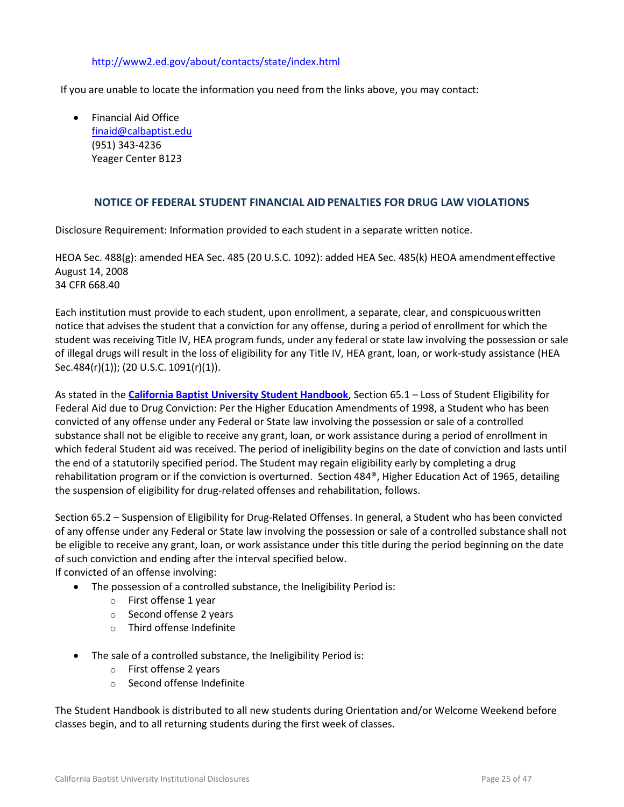#### <http://www2.ed.gov/about/contacts/state/index.html>

If you are unable to locate the information you need from the links above, you may contact:

 Financial Aid Office [finaid@calbaptist.edu](mailto:finaid@calbaptist.edu) (951) 343-4236 Yeager Center B123

#### **NOTICE OF FEDERAL STUDENT FINANCIAL AIDPENALTIES FOR DRUG LAW VIOLATIONS**

<span id="page-24-0"></span>Disclosure Requirement: Information provided to each student in a separate written notice.

HEOA Sec. 488(g): amended HEA Sec. 485 (20 U.S.C. 1092): added HEA Sec. 485(k) HEOA amendmenteffective August 14, 2008 34 CFR 668.40

Each institution must provide to each student, upon enrollment, a separate, clear, and conspicuouswritten notice that advises the student that a conviction for any offense, during a period of enrollment for which the student was receiving Title IV, HEA program funds, under any federal or state law involving the possession or sale of illegal drugs will result in the loss of eligibility for any Title IV, HEA grant, loan, or work-study assistance (HEA Sec.484(r)(1)); (20 U.S.C. 1091(r)(1)).

As stated in the **[California Baptist University Student Handbook](http://www.thezonelive.com/SchoolStructure/CA_CaliforniaBaptistCollege/handbook.pdf)**, Section 65.1 – Loss of Student Eligibility for Federal Aid due to Drug Conviction: Per the Higher Education Amendments of 1998, a Student who has been convicted of any offense under any Federal or State law involving the possession or sale of a controlled substance shall not be eligible to receive any grant, loan, or work assistance during a period of enrollment in which federal Student aid was received. The period of ineligibility begins on the date of conviction and lasts until the end of a statutorily specified period. The Student may regain eligibility early by completing a drug rehabilitation program or if the conviction is overturned. Section 484®, Higher Education Act of 1965, detailing the suspension of eligibility for drug-related offenses and rehabilitation, follows.

Section 65.2 – Suspension of Eligibility for Drug-Related Offenses. In general, a Student who has been convicted of any offense under any Federal or State law involving the possession or sale of a controlled substance shall not be eligible to receive any grant, loan, or work assistance under this title during the period beginning on the date of such conviction and ending after the interval specified below.

If convicted of an offense involving:

- The possession of a controlled substance, the Ineligibility Period is:
	- o First offense 1 year
	- o Second offense 2 years
	- o Third offense Indefinite
- The sale of a controlled substance, the Ineligibility Period is:
	- o First offense 2 years
	- o Second offense Indefinite

The Student Handbook is distributed to all new students during Orientation and/or Welcome Weekend before classes begin, and to all returning students during the first week of classes.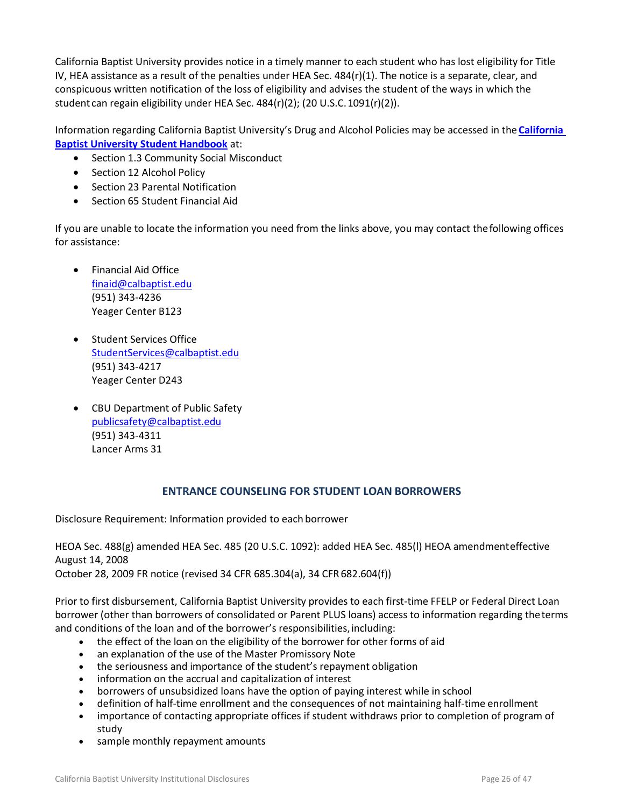California Baptist University provides notice in a timely manner to each student who has lost eligibility for Title IV, HEA assistance as a result of the penalties under HEA Sec. 484(r)(1). The notice is a separate, clear, and conspicuous written notification of the loss of eligibility and advises the student of the ways in which the student can regain eligibility under HEA Sec. 484(r)(2); (20 U.S.C.1091(r)(2)).

Information regarding California Baptist University's Drug and Alcohol Policies may be accessed in the **[California](http://www.thezonelive.com/SchoolStructure/CA_CaliforniaBaptistCollege/handbook.pdf)  [Baptist University Student Handbook](http://www.thezonelive.com/SchoolStructure/CA_CaliforniaBaptistCollege/handbook.pdf)** at:

- Section 1.3 Community Social Misconduct
- Section 12 Alcohol Policy
- Section 23 Parental Notification
- Section 65 Student Financial Aid

If you are unable to locate the information you need from the links above, you may contact thefollowing offices for assistance:

- Financial Aid Office [finaid@calbaptist.edu](mailto:finaid@calbaptist.edu) (951) 343-4236 Yeager Center B123
- Student Services Office [StudentServices@calbaptist.edu](mailto:StudentServices@calbaptist.edu) (951) 343-4217 Yeager Center D243
- CBU Department of Public Safety [publicsafety@calbaptist.edu](mailto:publicsafety@calbaptist.edu) (951) 343-4311 Lancer Arms 31

#### **ENTRANCE COUNSELING FOR STUDENT LOAN BORROWERS**

<span id="page-25-0"></span>Disclosure Requirement: Information provided to each borrower

HEOA Sec. 488(g) amended HEA Sec. 485 (20 U.S.C. 1092): added HEA Sec. 485(l) HEOA amendmenteffective August 14, 2008

October 28, 2009 FR notice (revised 34 CFR 685.304(a), 34 CFR682.604(f))

Prior to first disbursement, California Baptist University provides to each first-time FFELP or Federal Direct Loan borrower (other than borrowers of consolidated or Parent PLUS loans) access to information regarding theterms and conditions of the loan and of the borrower's responsibilities, including:

- the effect of the loan on the eligibility of the borrower for other forms of aid
- an explanation of the use of the Master Promissory Note
- the seriousness and importance of the student's repayment obligation
- information on the accrual and capitalization of interest
- borrowers of unsubsidized loans have the option of paying interest while in school
- definition of half-time enrollment and the consequences of not maintaining half-time enrollment
- importance of contacting appropriate offices if student withdraws prior to completion of program of study
- sample monthly repayment amounts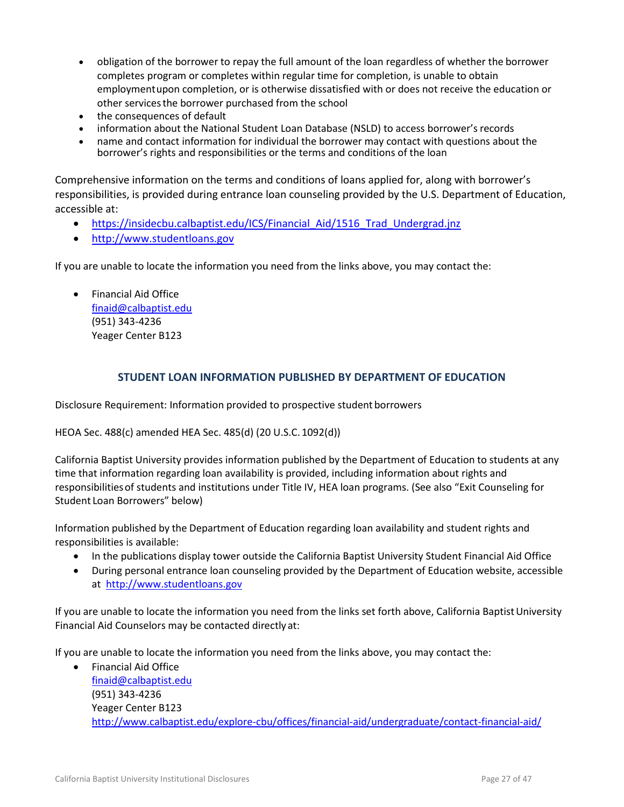- obligation of the borrower to repay the full amount of the loan regardless of whether the borrower completes program or completes within regular time for completion, is unable to obtain employmentupon completion, or is otherwise dissatisfied with or does not receive the education or other servicesthe borrower purchased from the school
- the consequences of default
- information about the National Student Loan Database (NSLD) to access borrower'srecords
- name and contact information for individual the borrower may contact with questions about the borrower's rights and responsibilities or the terms and conditions of the loan

Comprehensive information on the terms and conditions of loans applied for, along with borrower's responsibilities, is provided during entrance loan counseling provided by the U.S. Department of Education, accessible at:

- https://insidecbu.calbaptist.edu/ICS/Financial Aid/1516 Trad Undergrad.jnz
- [http://www.studentloans.gov](http://www.studentloans.gov/)

If you are unable to locate the information you need from the links above, you may contact the:

• Financial Aid Office [finaid@calbaptist.edu](mailto:finaid@calbaptist.edu) (951) 343-4236 Yeager Center B123

### **STUDENT LOAN INFORMATION PUBLISHED BY DEPARTMENT OF EDUCATION**

<span id="page-26-0"></span>Disclosure Requirement: Information provided to prospective student borrowers

HEOA Sec. 488(c) amended HEA Sec. 485(d) (20 U.S.C. 1092(d))

California Baptist University provides information published by the Department of Education to students at any time that information regarding loan availability is provided, including information about rights and responsibilitiesof students and institutions under Title IV, HEA loan programs. (See also "Exit Counseling for Student Loan Borrowers" below)

Information published by the Department of Education regarding loan availability and student rights and responsibilities is available:

- In the publications display tower outside the California Baptist University Student Financial Aid Office
- During personal entrance loan counseling provided by the Department of Education website, accessible at [http://www.studentloans.gov](http://www.studentloans.gov/)

If you are unable to locate the information you need from the links set forth above, California Baptist University Financial Aid Counselors may be contacted directly at:

If you are unable to locate the information you need from the links above, you may contact the:

 Financial Aid Office [finaid@calbaptist.edu](mailto:finaid@calbaptist.edu) (951) 343-4236 Yeager Center B123 <http://www.calbaptist.edu/explore-cbu/offices/financial-aid/undergraduate/contact-financial-aid/>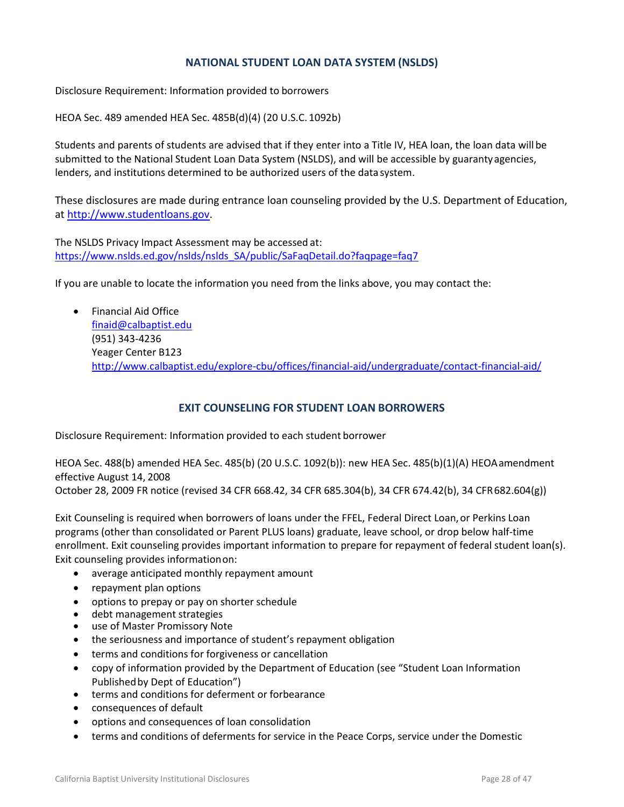### **NATIONAL STUDENT LOAN DATA SYSTEM (NSLDS)**

<span id="page-27-0"></span>Disclosure Requirement: Information provided to borrowers

HEOA Sec. 489 amended HEA Sec. 485B(d)(4) (20 U.S.C. 1092b)

Students and parents of students are advised that if they enter into a Title IV, HEA loan, the loan data will be submitted to the National Student Loan Data System (NSLDS), and will be accessible by guarantyagencies, lenders, and institutions determined to be authorized users of the data system.

These disclosures are made during entrance loan counseling provided by the U.S. Department of Education, at [http://www.studentloans.gov.](http://www.studentloans.gov/)

The NSLDS Privacy Impact Assessment may be accessed at: [https://www.nslds.ed.gov/nslds/nslds\\_SA/public/SaFaqDetail.do?faqpage=faq7](https://www.nslds.ed.gov/nslds/nslds_SA/public/SaFaqDetail.do?faqpage=faq7)

If you are unable to locate the information you need from the links above, you may contact the:

 Financial Aid Office [finaid@calbaptist.edu](mailto:finaid@calbaptist.edu) (951) 343-4236 Yeager Center B123 <http://www.calbaptist.edu/explore-cbu/offices/financial-aid/undergraduate/contact-financial-aid/>

#### **EXIT COUNSELING FOR STUDENT LOAN BORROWERS**

<span id="page-27-1"></span>Disclosure Requirement: Information provided to each student borrower

HEOA Sec. 488(b) amended HEA Sec. 485(b) (20 U.S.C. 1092(b)): new HEA Sec. 485(b)(1)(A) HEOAamendment effective August 14, 2008

October 28, 2009 FR notice (revised 34 CFR 668.42, 34 CFR 685.304(b), 34 CFR 674.42(b), 34 CFR682.604(g))

Exit Counseling is required when borrowers of loans under the FFEL, Federal Direct Loan,or Perkins Loan programs (other than consolidated or Parent PLUS loans) graduate, leave school, or drop below [half-time](https://studentloans.gov/myDirectLoan/index.action)  [enrollment.](https://studentloans.gov/myDirectLoan/index.action) Exit counseling provides important information to prepare for repayment of federal student loan(s). Exit counseling provides informationon:

- average anticipated monthly repayment amount
- repayment plan options
- options to prepay or pay on shorter schedule
- debt management strategies
- use of Master Promissory Note
- the seriousness and importance of student's repayment obligation
- terms and conditions for forgiveness or cancellation
- copy of information provided by the Department of Education (see "Student Loan Information Publishedby Dept of Education")
- terms and conditions for deferment or forbearance
- consequences of default
- options and consequences of loan consolidation
- terms and conditions of deferments for service in the Peace Corps, service under the Domestic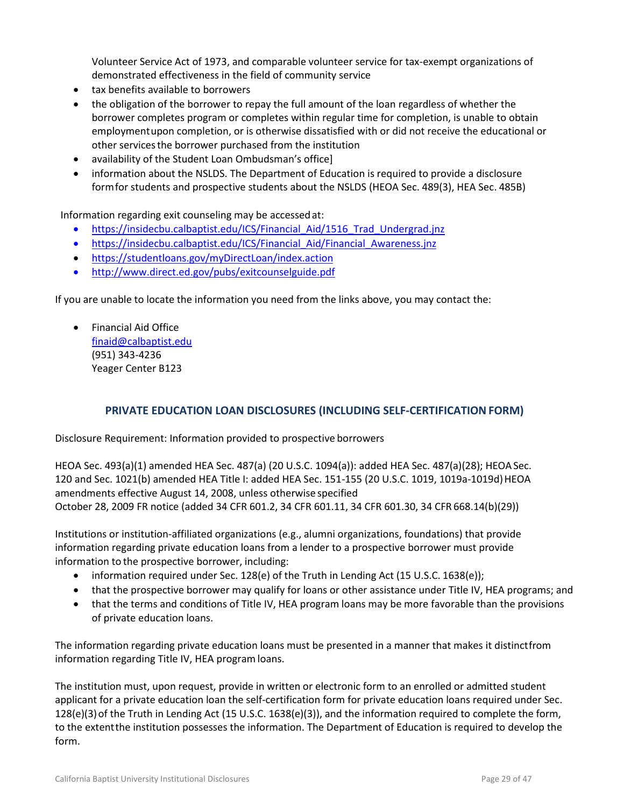Volunteer Service Act of 1973, and comparable volunteer service for tax-exempt organizations of demonstrated effectiveness in the field of community service

- tax benefits available to borrowers
- the obligation of the borrower to repay the full amount of the loan regardless of whether the borrower completes program or completes within regular time for completion, is unable to obtain employmentupon completion, or is otherwise dissatisfied with or did not receive the educational or other servicesthe borrower purchased from the institution
- availability of the Student Loan Ombudsman's office]
- information about the NSLDS. The Department of Education is required to provide a disclosure formfor students and prospective students about the NSLDS (HEOA Sec. 489(3), HEA Sec. 485B)

Information regarding exit counseling may be accessedat:

- [https://insidecbu.calbaptist.edu/ICS/Financial\\_Aid/1516\\_Trad\\_Undergrad.jnz](https://insidecbu.calbaptist.edu/ICS/Financial_Aid/1516_Trad_Undergrad.jnz)
- https://insidecbu.calbaptist.edu/ICS/Financial Aid/Financial Awareness.jnz
- <https://studentloans.gov/myDirectLoan/index.action>
- <http://www.direct.ed.gov/pubs/exitcounselguide.pdf>

If you are unable to locate the information you need from the links above, you may contact the:

• Financial Aid Office [finaid@calbaptist.edu](mailto:finaid@calbaptist.edu) (951) 343-4236 Yeager Center B123

#### **PRIVATE EDUCATION LOAN DISCLOSURES (INCLUDING SELF-CERTIFICATIONFORM)**

<span id="page-28-0"></span>Disclosure Requirement: Information provided to prospective borrowers

HEOA Sec. 493(a)(1) amended HEA Sec. 487(a) (20 U.S.C. 1094(a)): added HEA Sec. 487(a)(28); HEOASec. 120 and Sec. 1021(b) amended HEA Title I: added HEA Sec. 151-155 (20 U.S.C. 1019, 1019a-1019d)HEOA amendments effective August 14, 2008, unless otherwise specified October 28, 2009 FR notice (added 34 CFR 601.2, 34 CFR 601.11, 34 CFR 601.30, 34 CFR 668.14(b)(29))

Institutions or institution-affiliated organizations (e.g., alumni organizations, foundations) that provide information regarding private education loans from a lender to a prospective borrower must provide information to the prospective borrower, including:

- information required under Sec. 128(e) of the Truth in Lending Act (15 U.S.C. 1638(e));
- that the prospective borrower may qualify for loans or other assistance under Title IV, HEA programs; and
- that the terms and conditions of Title IV, HEA program loans may be more favorable than the provisions of private education loans.

The information regarding private education loans must be presented in a manner that makes it distinctfrom information regarding Title IV, HEA program loans.

The institution must, upon request, provide in written or electronic form to an enrolled or admitted student applicant for a private education loan the self-certification form for private education loans required under Sec. 128(e)(3)of the Truth in Lending Act (15 U.S.C. 1638(e)(3)), and the information required to complete the form, to the extentthe institution possesses the information. The Department of Education is required to develop the form.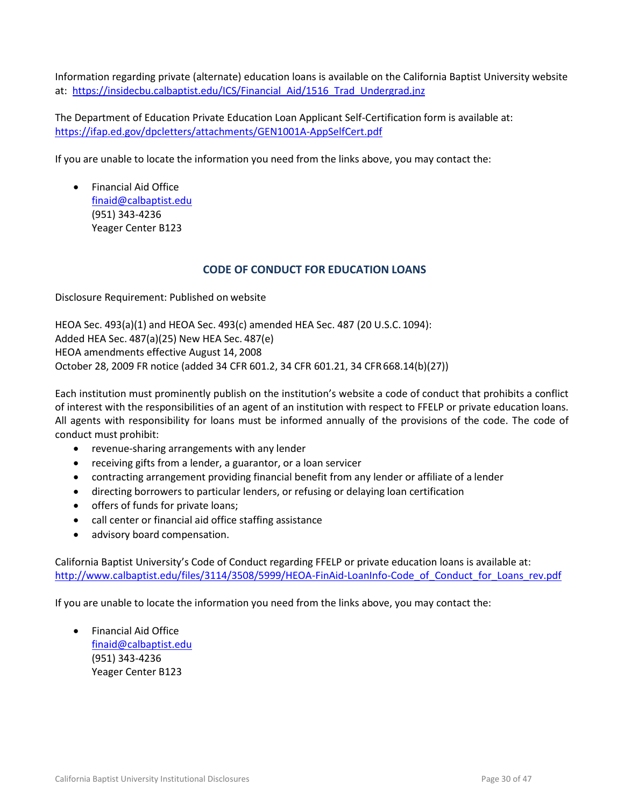Information regarding private (alternate) education loans is available on the California Baptist University website at: [https://insidecbu.calbaptist.edu/ICS/Financial\\_Aid/1516\\_Trad\\_Undergrad.jnz](https://insidecbu.calbaptist.edu/ICS/Financial_Aid/1516_Trad_Undergrad.jnz)

The Department of Education Private Education Loan Applicant Self-Certification form is available at: <https://ifap.ed.gov/dpcletters/attachments/GEN1001A-AppSelfCert.pdf>

If you are unable to locate the information you need from the links above, you may contact the:

 Financial Aid Office [finaid@calbaptist.edu](mailto:finaid@calbaptist.edu) (951) 343-4236 Yeager Center B123

#### **CODE OF CONDUCT FOR EDUCATION LOANS**

<span id="page-29-0"></span>Disclosure Requirement: Published on website

HEOA Sec. 493(a)(1) and HEOA Sec. 493(c) amended HEA Sec. 487 (20 U.S.C. 1094): Added HEA Sec. 487(a)(25) New HEA Sec. 487(e) HEOA amendments effective August 14, 2008 October 28, 2009 FR notice (added 34 CFR 601.2, 34 CFR 601.21, 34 CFR668.14(b)(27))

Each institution must prominently publish on the institution's website a code of conduct that prohibits a conflict of interest with the responsibilities of an agent of an institution with respect to FFELP or private education loans. All agents with responsibility for loans must be informed annually of the provisions of the code. The code of conduct must prohibit:

- revenue-sharing arrangements with any lender
- receiving gifts from a lender, a guarantor, or a loan servicer
- contracting arrangement providing financial benefit from any lender or affiliate of a lender
- directing borrowers to particular lenders, or refusing or delaying loan certification
- offers of funds for private loans;
- call center or financial aid office staffing assistance
- advisory board compensation.

California Baptist University's Code of Conduct regarding FFELP or private education loans is available at: [http://www.calbaptist.edu/files/3114/3508/5999/HEOA-FinAid-LoanInfo-Code\\_of\\_Conduct\\_for\\_Loans\\_rev.pdf](http://www.calbaptist.edu/files/3114/3508/5999/HEOA-FinAid-LoanInfo-Code_of_Conduct_for_Loans_rev.pdf)

If you are unable to locate the information you need from the links above, you may contact the:

 Financial Aid Office [finaid@calbaptist.edu](mailto:finaid@calbaptist.edu) (951) 343-4236 Yeager Center B123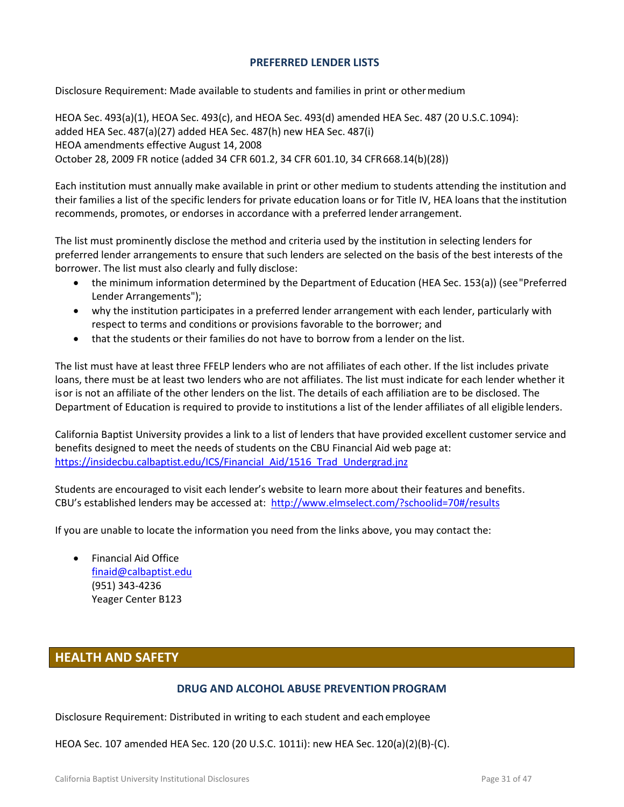#### **PREFERRED LENDER LISTS**

<span id="page-30-0"></span>Disclosure Requirement: Made available to students and families in print or othermedium

HEOA Sec. 493(a)(1), HEOA Sec. 493(c), and HEOA Sec. 493(d) amended HEA Sec. 487 (20 U.S.C.1094): added HEA Sec. 487(a)(27) added HEA Sec. 487(h) new HEA Sec. 487(i) HEOA amendments effective August 14, 2008 October 28, 2009 FR notice (added 34 CFR 601.2, 34 CFR 601.10, 34 CFR668.14(b)(28))

Each institution must annually make available in print or other medium to students attending the institution and their families a list of the specific lenders for private education loans or for Title IV, HEA loans that the institution recommends, promotes, or endorses in accordance with a preferred lender arrangement.

The list must prominently disclose the method and criteria used by the institution in selecting lenders for preferred lender arrangements to ensure that such lenders are selected on the basis of the best interests of the borrower. The list must also clearly and fully disclose:

- the minimum information determined by the Department of Education (HEA Sec. 153(a)) (see"Preferred Lender Arrangements");
- why the institution participates in a preferred lender arrangement with each lender, particularly with respect to terms and conditions or provisions favorable to the borrower; and
- that the students or their families do not have to borrow from a lender on the list.

The list must have at least three FFELP lenders who are not affiliates of each other. If the list includes private loans, there must be at least two lenders who are not affiliates. The list must indicate for each lender whether it isor is not an affiliate of the other lenders on the list. The details of each affiliation are to be disclosed. The Department of Education is required to provide to institutions a list of the lender affiliates of all eligible lenders.

California Baptist University provides a link to a list of lenders that have provided excellent customer service and benefits designed to meet the needs of students on the CBU Financial Aid web page at: [https://insidecbu.calbaptist.edu/ICS/Financial\\_Aid/1516\\_Trad\\_Undergrad.jnz](https://insidecbu.calbaptist.edu/ICS/Financial_Aid/1516_Trad_Undergrad.jnz)

Students are encouraged to visit each lender's website to learn more about their features and benefits. CBU's established lenders may be accessed at: <http://www.elmselect.com/?schoolid=70#/results>

If you are unable to locate the information you need from the links above, you may contact the:

 Financial Aid Office [finaid@calbaptist.edu](mailto:finaid@calbaptist.edu) (951) 343-4236 Yeager Center B123

# <span id="page-30-2"></span><span id="page-30-1"></span>**HEALTH AND SAFETY**

#### **DRUG AND ALCOHOL ABUSE PREVENTION PROGRAM**

Disclosure Requirement: Distributed in writing to each student and each employee

HEOA Sec. 107 amended HEA Sec. 120 (20 U.S.C. 1011i): new HEA Sec. 120(a)(2)(B)-(C).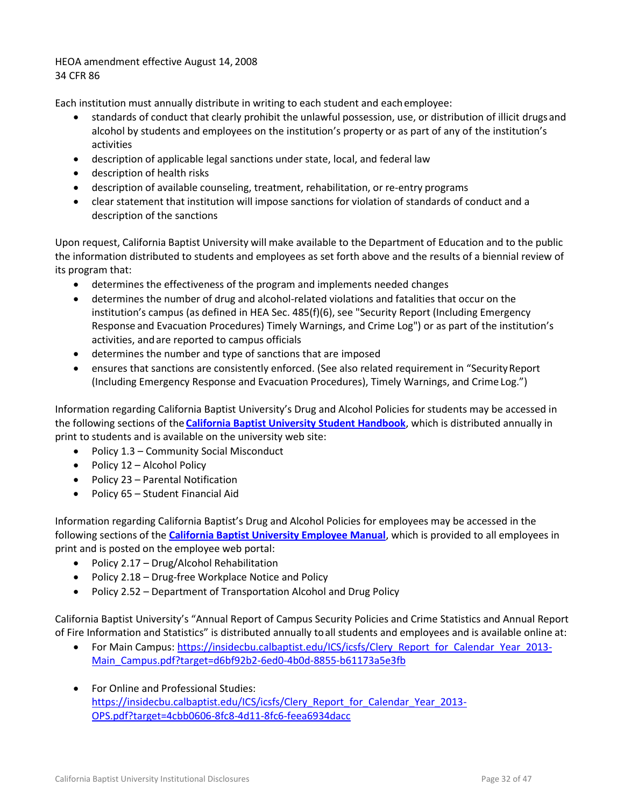HEOA amendment effective August 14, 2008 34 CFR 86

Each institution must annually distribute in writing to each student and eachemployee:

- standards of conduct that clearly prohibit the unlawful possession, use, or distribution of illicit drugsand alcohol by students and employees on the institution's property or as part of any of the institution's activities
- description of applicable legal sanctions under state, local, and federal law
- description of health risks
- description of available counseling, treatment, rehabilitation, or re-entry programs
- clear statement that institution will impose sanctions for violation of standards of conduct and a description of the sanctions

Upon request, California Baptist University will make available to the Department of Education and to the public the information distributed to students and employees as set forth above and the results of a biennial review of its program that:

- determines the effectiveness of the program and implements needed changes
- determines the number of drug and alcohol-related violations and fatalities that occur on the institution's campus (as defined in HEA Sec. 485(f)(6), see "Security Report (Including Emergency Response and Evacuation Procedures) Timely Warnings, and Crime Log") or as part of the institution's activities, andare reported to campus officials
- determines the number and type of sanctions that are imposed
- ensures that sanctions are consistently enforced. (See also related requirement in "Security Report (Including Emergency Response and Evacuation Procedures), Timely Warnings, and Crime Log.")

Information regarding California Baptist University's Drug and Alcohol Policies for students may be accessed in the following sections of the **[California Baptist University Student Handbook](http://www.thezonelive.com/SchoolStructure/CA_CaliforniaBaptistCollege/handbook.pdf)**, which is distributed annually in print to students and is available on the university web site:

- Policy 1.3 Community Social Misconduct
- Policy 12 Alcohol Policy
- Policy 23 Parental Notification
- Policy 65 Student Financial Aid

Information regarding California Baptist's Drug and Alcohol Policies for employees may be accessed in the following sections of the **[California Baptist University Employee Manual](https://insidecbu.calbaptist.edu/ICS/icsfs/5.2015_Employee_Manual_updated_-_REFERENCE_VERSION.pdf?target=02cb6288-d0eb-4d5f-8d28-8b8bc94981b3)**, which is provided to all employees in print and is posted on the employee web portal:

- Policy 2.17 Drug/Alcohol Rehabilitation
- Policy 2.18 Drug-free Workplace Notice and Policy
- Policy 2.52 Department of Transportation Alcohol and Drug Policy

California Baptist University's "Annual Report of Campus Security Policies and Crime Statistics and Annual Report of Fire Information and Statistics" is distributed annually toall students and employees and is available online at:

- For Main Campus: [https://insidecbu.calbaptist.edu/ICS/icsfs/Clery\\_Report\\_for\\_Calendar\\_Year\\_2013-](https://insidecbu.calbaptist.edu/ICS/icsfs/Clery_Report_for_Calendar_Year_2013-Main_Campus.pdf?target=d6bf92b2-6ed0-4b0d-8855-b61173a5e3fb) [Main\\_Campus.pdf?target=d6bf92b2-6ed0-4b0d-8855-b61173a5e3fb](https://insidecbu.calbaptist.edu/ICS/icsfs/Clery_Report_for_Calendar_Year_2013-Main_Campus.pdf?target=d6bf92b2-6ed0-4b0d-8855-b61173a5e3fb)
- For Online and Professional Studies: [https://insidecbu.calbaptist.edu/ICS/icsfs/Clery\\_Report\\_for\\_Calendar\\_Year\\_2013-](https://insidecbu.calbaptist.edu/ICS/icsfs/Clery_Report_for_Calendar_Year_2013-OPS.pdf?target=4cbb0606-8fc8-4d11-8fc6-feea6934dacc) [OPS.pdf?target=4cbb0606-8fc8-4d11-8fc6-feea6934dacc](https://insidecbu.calbaptist.edu/ICS/icsfs/Clery_Report_for_Calendar_Year_2013-OPS.pdf?target=4cbb0606-8fc8-4d11-8fc6-feea6934dacc)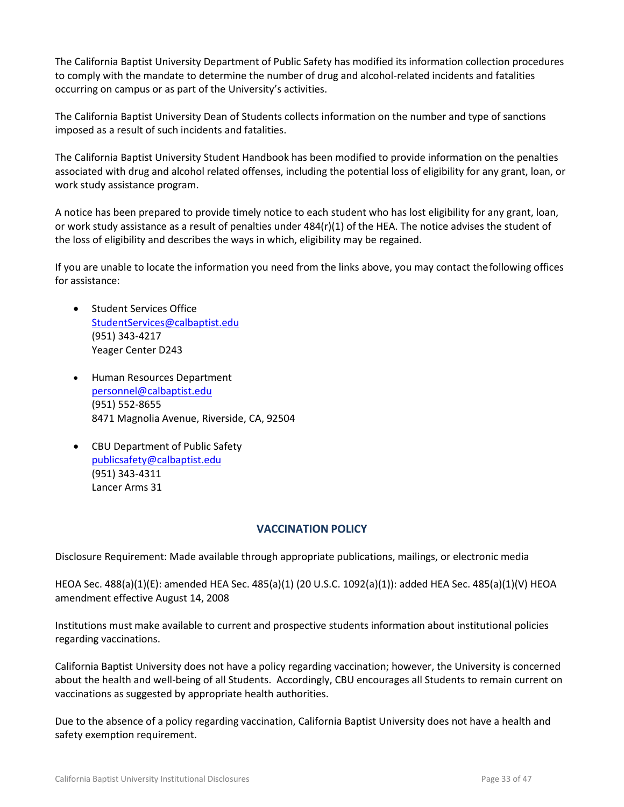The California Baptist University Department of Public Safety has modified its information collection procedures to comply with the mandate to determine the number of drug and alcohol-related incidents and fatalities occurring on campus or as part of the University's activities.

The California Baptist University Dean of Students collects information on the number and type of sanctions imposed as a result of such incidents and fatalities.

The California Baptist University Student Handbook has been modified to provide information on the penalties associated with drug and alcohol related offenses, including the potential loss of eligibility for any grant, loan, or work study assistance program.

A notice has been prepared to provide timely notice to each student who has lost eligibility for any grant, loan, or work study assistance as a result of penalties under 484(r)(1) of the HEA. The notice advises the student of the loss of eligibility and describes the ways in which, eligibility may be regained.

If you are unable to locate the information you need from the links above, you may contact thefollowing offices for assistance:

- Student Services Office [StudentServices@calbaptist.edu](mailto:StudentServices@calbaptist.edu) (951) 343-4217 Yeager Center D243
- Human Resources Department [personnel@calbaptist.edu](mailto:personnel@calbaptist.edu) (951) 552-8655 8471 Magnolia Avenue, Riverside, CA, 92504
- CBU Department of Public Safety [publicsafety@calbaptist.edu](mailto:publicsafety@calbaptist.edu) (951) 343-4311 Lancer Arms 31

# **VACCINATION POLICY**

<span id="page-32-0"></span>Disclosure Requirement: Made available through appropriate publications, mailings, or electronic media

HEOA Sec. 488(a)(1)(E): amended HEA Sec. 485(a)(1) (20 U.S.C. 1092(a)(1)): added HEA Sec. 485(a)(1)(V) HEOA amendment effective August 14, 2008

Institutions must make available to current and prospective students information about institutional policies regarding vaccinations.

California Baptist University does not have a policy regarding vaccination; however, the University is concerned about the health and well-being of all Students. Accordingly, CBU encourages all Students to remain current on vaccinations as suggested by appropriate health authorities.

Due to the absence of a policy regarding vaccination, California Baptist University does not have a health and safety exemption requirement.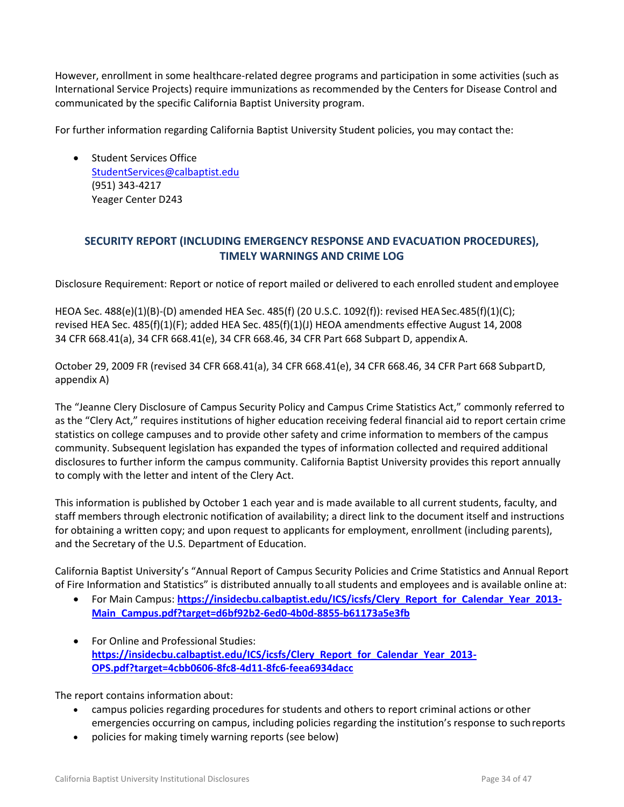However, enrollment in some healthcare-related degree programs and participation in some activities (such as International Service Projects) require immunizations as recommended by the Centers for Disease Control and communicated by the specific California Baptist University program.

For further information regarding California Baptist University Student policies, you may contact the:

• Student Services Office [StudentServices@calbaptist.edu](mailto:StudentServices@calbaptist.edu)  (951) 343-4217 Yeager Center D243

# <span id="page-33-0"></span>**SECURITY REPORT (INCLUDING EMERGENCY RESPONSE AND EVACUATION PROCEDURES), TIMELY WARNINGS AND CRIME LOG**

<span id="page-33-1"></span>Disclosure Requirement: Report or notice of report mailed or delivered to each enrolled student andemployee

HEOA Sec. 488(e)(1)(B)-(D) amended HEA Sec. 485(f) (20 U.S.C. 1092(f)): revised HEASec.485(f)(1)(C); revised HEA Sec. 485(f)(1)(F); added HEA Sec. 485(f)(1)(J) HEOA amendments effective August 14, 2008 34 CFR 668.41(a), 34 CFR 668.41(e), 34 CFR 668.46, 34 CFR Part 668 Subpart D, appendixA.

October 29, 2009 FR (revised 34 CFR 668.41(a), 34 CFR 668.41(e), 34 CFR 668.46, 34 CFR Part 668 SubpartD, appendix A)

The "Jeanne Clery Disclosure of Campus Security Policy and Campus Crime Statistics Act," commonly referred to as the "Clery Act," requires institutions of higher education receiving federal financial aid to report certain crime statistics on college campuses and to provide other safety and crime information to members of the campus community. Subsequent legislation has expanded the types of information collected and required additional disclosures to further inform the campus community. California Baptist University provides this report annually to comply with the letter and intent of the Clery Act.

This information is published by October 1 each year and is made available to all current students, faculty, and staff members through electronic notification of availability; a direct link to the document itself and instructions for obtaining a written copy; and upon request to applicants for employment, enrollment (including parents), and the Secretary of the U.S. Department of Education.

California Baptist University's "Annual Report of Campus Security Policies and Crime Statistics and Annual Report of Fire Information and Statistics" is distributed annually toall students and employees and is available online at:

- For Main Campus: https://insidecbu.calbaptist.edu/ICS/icsfs/Clery Report for Calendar Year 2013-**[Main\\_Campus.pdf?target=d6bf92b2-6ed0-4b0d-8855-b61173a5e3fb](https://insidecbu.calbaptist.edu/ICS/icsfs/Clery_Report_for_Calendar_Year_2013-Main_Campus.pdf?target=d6bf92b2-6ed0-4b0d-8855-b61173a5e3fb)**
- For Online and Professional Studies: **[https://insidecbu.calbaptist.edu/ICS/icsfs/Clery\\_Report\\_for\\_Calendar\\_Year\\_2013-](https://insidecbu.calbaptist.edu/ICS/icsfs/Clery_Report_for_Calendar_Year_2013-OPS.pdf?target=4cbb0606-8fc8-4d11-8fc6-feea6934dacc) [OPS.pdf?target=4cbb0606-8fc8-4d11-8fc6-feea6934dacc](https://insidecbu.calbaptist.edu/ICS/icsfs/Clery_Report_for_Calendar_Year_2013-OPS.pdf?target=4cbb0606-8fc8-4d11-8fc6-feea6934dacc)**

The report contains information about:

- campus policies regarding procedures for students and others to report criminal actions or other emergencies occurring on campus, including policies regarding the institution's response to suchreports
- policies for making timely warning reports (see below)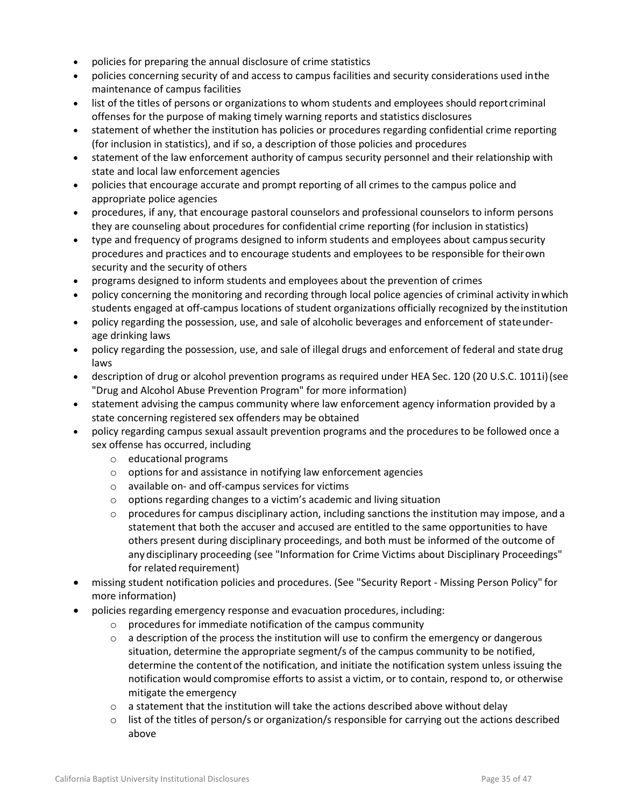- policies for preparing the annual disclosure of crime statistics
- policies concerning security of and access to campus facilities and security considerations used inthe maintenance of campus facilities
- list of the titles of persons or organizations to whom students and employees should reportcriminal offenses for the purpose of making timely warning reports and statistics disclosures
- statement of whether the institution has policies or procedures regarding confidential crime reporting (for inclusion in statistics), and if so, a description of those policies and procedures
- statement of the law enforcement authority of campus security personnel and their relationship with state and local law enforcement agencies
- policies that encourage accurate and prompt reporting of all crimes to the campus police and appropriate police agencies
- procedures, if any, that encourage pastoral counselors and professional counselors to inform persons they are counseling about procedures for confidential crime reporting (for inclusion in statistics)
- type and frequency of programs designed to inform students and employees about campussecurity procedures and practices and to encourage students and employees to be responsible for theirown security and the security of others
- programs designed to inform students and employees about the prevention of crimes
- policy concerning the monitoring and recording through local police agencies of criminal activity inwhich students engaged at off-campus locations of student organizations officially recognized by theinstitution
- policy regarding the possession, use, and sale of alcoholic beverages and enforcement of stateunderage drinking laws
- policy regarding the possession, use, and sale of illegal drugs and enforcement of federal and state drug laws
- description of drug or alcohol prevention programs as required under HEA Sec. 120 (20 U.S.C. 1011i)(see "Drug and Alcohol Abuse Prevention Program" for more information)
- statement advising the campus community where law enforcement agency information provided by a state concerning registered sex offenders may be obtained
- policy regarding campus sexual assault prevention programs and the procedures to be followed once a sex offense has occurred, including
	- o educational programs
	- o options for and assistance in notifying law enforcement agencies
	- o available on- and off-campus services for victims
	- o options regarding changes to a victim's academic and living situation
	- $\circ$  procedures for campus disciplinary action, including sanctions the institution may impose, and a statement that both the accuser and accused are entitled to the same opportunities to have others present during disciplinary proceedings, and both must be informed of the outcome of any disciplinary proceeding (see "Information for Crime Victims about Disciplinary Proceedings" for related requirement)
- missing student notification policies and procedures. (See "Security Report Missing Person Policy" for more information)
- policies regarding emergency response and evacuation procedures, including:
	- o procedures for immediate notification of the campus community
	- $\circ$  a description of the process the institution will use to confirm the emergency or dangerous situation, determine the appropriate segment/s of the campus community to be notified, determine the contentof the notification, and initiate the notification system unless issuing the notification would compromise efforts to assist a victim, or to contain, respond to, or otherwise mitigate the emergency
	- $\circ$  a statement that the institution will take the actions described above without delay
	- $\circ$  list of the titles of person/s or organization/s responsible for carrying out the actions described above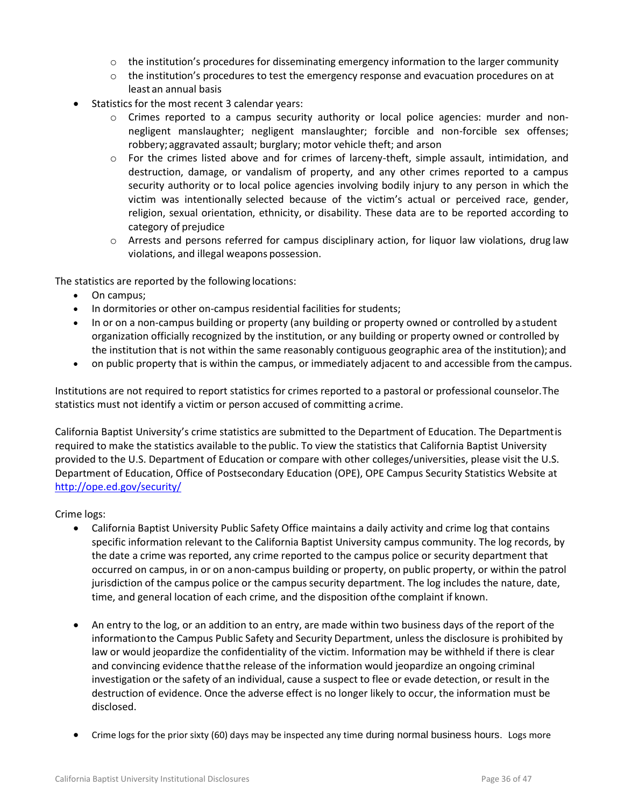- $\circ$  the institution's procedures for disseminating emergency information to the larger community
- $\circ$  the institution's procedures to test the emergency response and evacuation procedures on at least an annual basis
- Statistics for the most recent 3 calendar years:
	- o Crimes reported to a campus security authority or local police agencies: murder and nonnegligent manslaughter; negligent manslaughter; forcible and non-forcible sex offenses; robbery; aggravated assault; burglary; motor vehicle theft; and arson
	- $\circ$  For the crimes listed above and for crimes of larceny-theft, simple assault, intimidation, and destruction, damage, or vandalism of property, and any other crimes reported to a campus security authority or to local police agencies involving bodily injury to any person in which the victim was intentionally selected because of the victim's actual or perceived race, gender, religion, sexual orientation, ethnicity, or disability. These data are to be reported according to category of prejudice
	- $\circ$  Arrests and persons referred for campus disciplinary action, for liquor law violations, drug law violations, and illegal weapons possession.

The statistics are reported by the following locations:

- On campus;
- In dormitories or other on-campus residential facilities for students;
- In or on a non-campus building or property (any building or property owned or controlled by a student organization officially recognized by the institution, or any building or property owned or controlled by the institution that is not within the same reasonably contiguous geographic area of the institution); and
- on public property that is within the campus, or immediately adjacent to and accessible from the campus.

Institutions are not required to report statistics for crimes reported to a pastoral or professional counselor.The statistics must not identify a victim or person accused of committing acrime.

California Baptist University's crime statistics are submitted to the Department of Education. The Departmentis required to make the statistics available to the public. To view the statistics that California Baptist University provided to the U.S. Department of Education or compare with other colleges/universities, please visit the U.S. Department of Education, Office of Postsecondary Education (OPE), OPE Campus Security Statistics Website at <http://ope.ed.gov/security/>

#### Crime logs:

- California Baptist University Public Safety Office maintains a daily activity and crime log that contains specific information relevant to the California Baptist University campus community. The log records, by the date a crime was reported, any crime reported to the campus police or security department that occurred on campus, in or on anon-campus building or property, on public property, or within the patrol jurisdiction of the campus police or the campus security department. The log includes the nature, date, time, and general location of each crime, and the disposition ofthe complaint if known.
- An entry to the log, or an addition to an entry, are made within two business days of the report of the informationto the Campus Public Safety and Security Department, unless the disclosure is prohibited by law or would jeopardize the confidentiality of the victim. Information may be withheld if there is clear and convincing evidence thatthe release of the information would jeopardize an ongoing criminal investigation or the safety of an individual, cause a suspect to flee or evade detection, or result in the destruction of evidence. Once the adverse effect is no longer likely to occur, the information must be disclosed.
- Crime logs for the prior sixty (60) days may be inspected any time during normal business hours. Logs more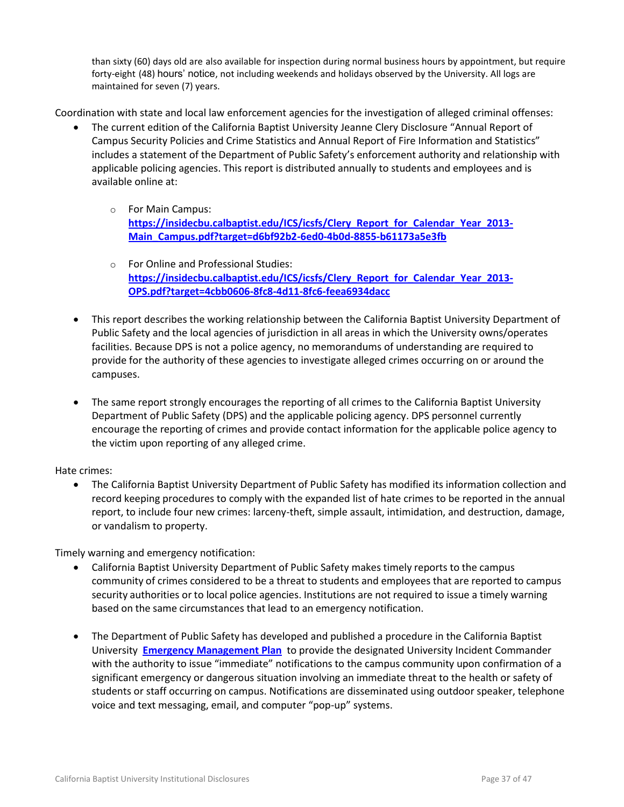than sixty (60) days old are also available for inspection during normal business hours by appointment, but require forty-eight (48) hours' notice, not including weekends and holidays observed by the University. All logs are maintained for seven (7) years.

Coordination with state and local law enforcement agencies for the investigation of alleged criminal offenses:

- The current edition of the California Baptist University Jeanne Clery Disclosure "Annual Report of Campus Security Policies and Crime Statistics and Annual Report of Fire Information and Statistics" includes a statement of the Department of Public Safety's enforcement authority and relationship with applicable policing agencies. This report is distributed annually to students and employees and is available online at:
	- o For Main Campus: **[https://insidecbu.calbaptist.edu/ICS/icsfs/Clery\\_Report\\_for\\_Calendar\\_Year\\_2013-](https://insidecbu.calbaptist.edu/ICS/icsfs/Clery_Report_for_Calendar_Year_2013-Main_Campus.pdf?target=d6bf92b2-6ed0-4b0d-8855-b61173a5e3fb) [Main\\_Campus.pdf?target=d6bf92b2-6ed0-4b0d-8855-b61173a5e3fb](https://insidecbu.calbaptist.edu/ICS/icsfs/Clery_Report_for_Calendar_Year_2013-Main_Campus.pdf?target=d6bf92b2-6ed0-4b0d-8855-b61173a5e3fb)**
	- o For Online and Professional Studies: **[https://insidecbu.calbaptist.edu/ICS/icsfs/Clery\\_Report\\_for\\_Calendar\\_Year\\_2013-](https://insidecbu.calbaptist.edu/ICS/icsfs/Clery_Report_for_Calendar_Year_2013-OPS.pdf?target=4cbb0606-8fc8-4d11-8fc6-feea6934dacc) [OPS.pdf?target=4cbb0606-8fc8-4d11-8fc6-feea6934dacc](https://insidecbu.calbaptist.edu/ICS/icsfs/Clery_Report_for_Calendar_Year_2013-OPS.pdf?target=4cbb0606-8fc8-4d11-8fc6-feea6934dacc)**
- This report describes the working relationship between the California Baptist University Department of Public Safety and the local agencies of jurisdiction in all areas in which the University owns/operates facilities. Because DPS is not a police agency, no memorandums of understanding are required to provide for the authority of these agencies to investigate alleged crimes occurring on or around the campuses.
- The same report strongly encourages the reporting of all crimes to the California Baptist University Department of Public Safety (DPS) and the applicable policing agency. DPS personnel currently encourage the reporting of crimes and provide contact information for the applicable police agency to the victim upon reporting of any alleged crime.

Hate crimes:

 The California Baptist University Department of Public Safety has modified its information collection and record keeping procedures to comply with the expanded list of hate crimes to be reported in the annual report, to include four new crimes: larceny-theft, simple assault, intimidation, and destruction, damage, or vandalism to property.

Timely warning and emergency notification:

- California Baptist University Department of Public Safety makes timely reports to the campus community of crimes considered to be a threat to students and employees that are reported to campus security authorities or to local police agencies. Institutions are not required to issue a timely warning based on the same circumstances that lead to an emergency notification.
- The Department of Public Safety has developed and published a procedure in the California Baptist University **[Emergency Management Plan](http://web1.calbaptist.edu/InsideCBU/CBUEmergOpsManualPUBLIC.pdf)** to provide the designated University Incident Commander with the authority to issue "immediate" notifications to the campus community upon confirmation of a significant emergency or dangerous situation involving an immediate threat to the health or safety of students or staff occurring on campus. Notifications are disseminated using outdoor speaker, telephone voice and text messaging, email, and computer "pop-up" systems.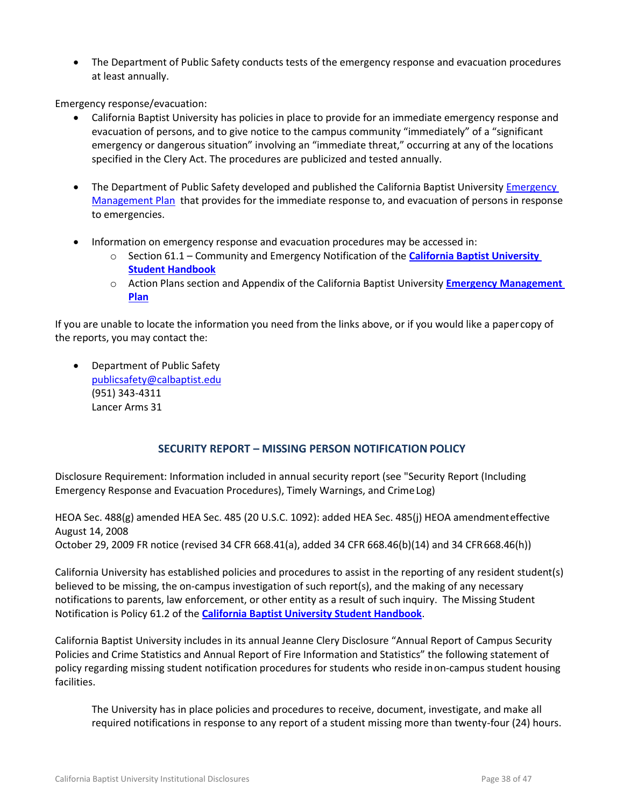• The Department of Public Safety conducts tests of the emergency response and evacuation procedures at least annually.

Emergency response/evacuation:

- California Baptist University has policies in place to provide for an immediate emergency response and evacuation of persons, and to give notice to the campus community "immediately" of a "significant emergency or dangerous situation" involving an "immediate threat," occurring at any of the locations specified in the Clery Act. The procedures are publicized and tested annually.
- The Department of Public Safety developed and published the California Baptist University Emergency [Management Plan](http://web1.calbaptist.edu/InsideCBU/CBUEmergOpsManualPUBLIC.pdf) that provides for the immediate response to, and evacuation of persons in response to emergencies.
- Information on emergency response and evacuation procedures may be accessed in:
	- o Section 61.1 Community and Emergency Notification of the **[California Baptist University](http://www.thezonelive.com/SchoolStructure/CA_CaliforniaBaptistCollege/handbook.pdf)  [Student Handbook](http://www.thezonelive.com/SchoolStructure/CA_CaliforniaBaptistCollege/handbook.pdf)**
	- o Action Plans section and Appendix of the California Baptist University **[Emergency Management](http://web1.calbaptist.edu/InsideCBU/CBUEmergOpsManualPUBLIC.pdf)  [Plan](http://web1.calbaptist.edu/InsideCBU/CBUEmergOpsManualPUBLIC.pdf)**

If you are unable to locate the information you need from the links above, or if you would like a papercopy of the reports, you may contact the:

• Department of Public Safety [publicsafety@calbaptist.edu](mailto:publicsafety@calbaptist.edu) (951) 343-4311 Lancer Arms 31

# **SECURITY REPORT – MISSING PERSON NOTIFICATIONPOLICY**

<span id="page-37-0"></span>Disclosure Requirement: Information included in annual security report (see "Security Report (Including Emergency Response and Evacuation Procedures), Timely Warnings, and CrimeLog)

HEOA Sec. 488(g) amended HEA Sec. 485 (20 U.S.C. 1092): added HEA Sec. 485(j) HEOA amendmenteffective August 14, 2008 October 29, 2009 FR notice (revised 34 CFR 668.41(a), added 34 CFR 668.46(b)(14) and 34 CFR668.46(h))

California University has established policies and procedures to assist in the reporting of any resident student(s) believed to be missing, the on-campus investigation of such report(s), and the making of any necessary notifications to parents, law enforcement, or other entity as a result of such inquiry. The Missing Student Notification is Policy 61.2 of the **[California Baptist University Student Handbook](http://www.thezonelive.com/SchoolStructure/CA_CaliforniaBaptistCollege/handbook.pdf)**.

California Baptist University includes in its annual Jeanne Clery Disclosure "Annual Report of Campus Security Policies and Crime Statistics and Annual Report of Fire Information and Statistics" the following statement of policy regarding missing student notification procedures for students who reside inon-campus student housing facilities.

The University has in place policies and procedures to receive, document, investigate, and make all required notifications in response to any report of a student missing more than twenty-four (24) hours.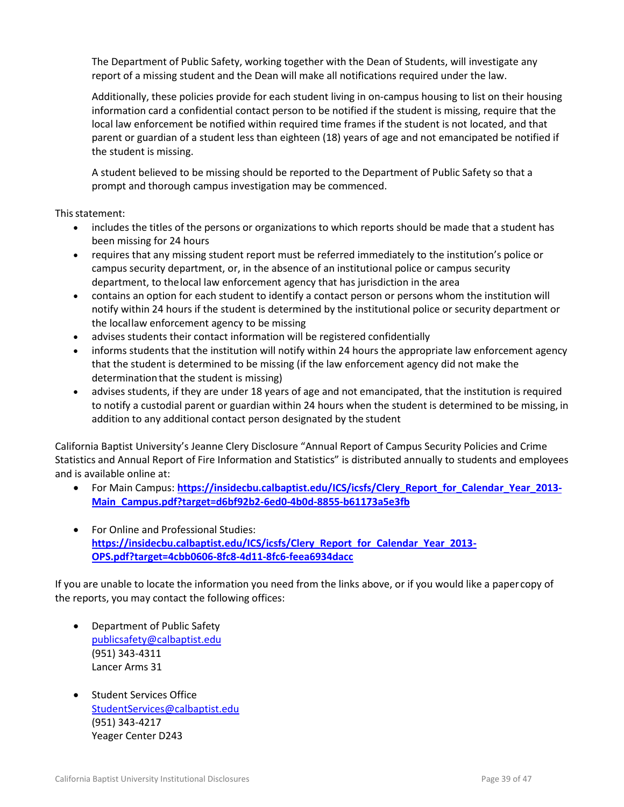The Department of Public Safety, working together with the Dean of Students, will investigate any report of a missing student and the Dean will make all notifications required under the law.

Additionally, these policies provide for each student living in on-campus housing to list on their housing information card a confidential contact person to be notified if the student is missing, require that the local law enforcement be notified within required time frames if the student is not located, and that parent or guardian of a student less than eighteen (18) years of age and not emancipated be notified if the student is missing.

A student believed to be missing should be reported to the Department of Public Safety so that a prompt and thorough campus investigation may be commenced.

This statement:

- includes the titles of the persons or organizations to which reports should be made that a student has been missing for 24 hours
- requires that any missing student report must be referred immediately to the institution's police or campus security department, or, in the absence of an institutional police or campus security department, to thelocal law enforcement agency that has jurisdiction in the area
- contains an option for each student to identify a contact person or persons whom the institution will notify within 24 hours if the student is determined by the institutional police or security department or the locallaw enforcement agency to be missing
- advises students their contact information will be registered confidentially
- informs students that the institution will notify within 24 hours the appropriate law enforcement agency that the student is determined to be missing (if the law enforcement agency did not make the determinationthat the student is missing)
- advises students, if they are under 18 years of age and not emancipated, that the institution is required to notify a custodial parent or guardian within 24 hours when the student is determined to be missing, in addition to any additional contact person designated by the student

California Baptist University's Jeanne Clery Disclosure "Annual Report of Campus Security Policies and Crime Statistics and Annual Report of Fire Information and Statistics" is distributed annually to students and employees and is available online at:

- For Main Campus: **https://insidecbu.calbaptist.edu/ICS/icsfs/Clery Report for Calendar Year 2013-[Main\\_Campus.pdf?target=d6bf92b2-6ed0-4b0d-8855-b61173a5e3fb](https://insidecbu.calbaptist.edu/ICS/icsfs/Clery_Report_for_Calendar_Year_2013-Main_Campus.pdf?target=d6bf92b2-6ed0-4b0d-8855-b61173a5e3fb)**
- For Online and Professional Studies: **[https://insidecbu.calbaptist.edu/ICS/icsfs/Clery\\_Report\\_for\\_Calendar\\_Year\\_2013-](https://insidecbu.calbaptist.edu/ICS/icsfs/Clery_Report_for_Calendar_Year_2013-OPS.pdf?target=4cbb0606-8fc8-4d11-8fc6-feea6934dacc) [OPS.pdf?target=4cbb0606-8fc8-4d11-8fc6-feea6934dacc](https://insidecbu.calbaptist.edu/ICS/icsfs/Clery_Report_for_Calendar_Year_2013-OPS.pdf?target=4cbb0606-8fc8-4d11-8fc6-feea6934dacc)**

If you are unable to locate the information you need from the links above, or if you would like a papercopy of the reports, you may contact the following offices:

- Department of Public Safety [publicsafety@calbaptist.edu](mailto:publicsafety@calbaptist.edu) (951) 343-4311 Lancer Arms 31
- Student Services Office [StudentServices@calbaptist.edu](mailto:StudentServices@calbaptist.edu)  (951) 343-4217 Yeager Center D243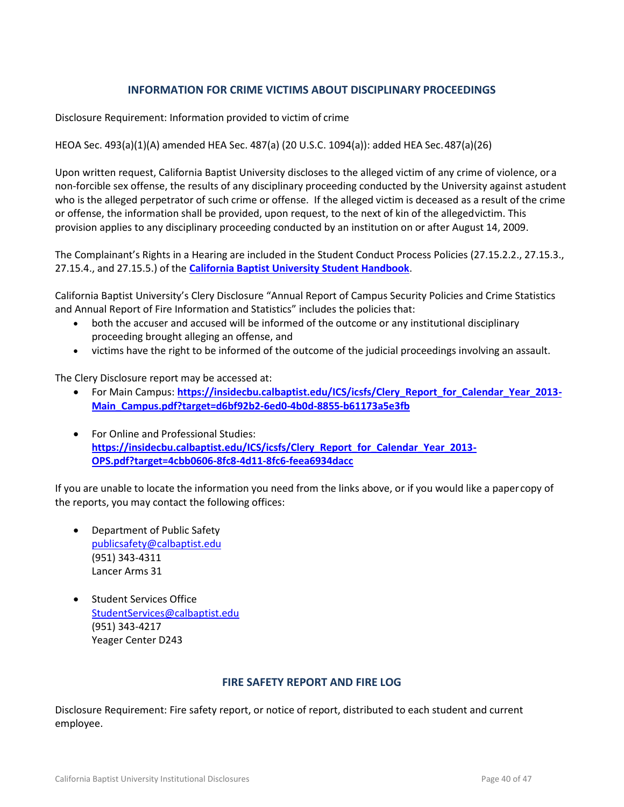### **INFORMATION FOR CRIME VICTIMS ABOUT DISCIPLINARY PROCEEDINGS**

<span id="page-39-0"></span>Disclosure Requirement: Information provided to victim of crime

#### HEOA Sec. 493(a)(1)(A) amended HEA Sec. 487(a) (20 U.S.C. 1094(a)): added HEA Sec.487(a)(26)

Upon written request, California Baptist University discloses to the alleged victim of any crime of violence, or a non-forcible sex offense, the results of any disciplinary proceeding conducted by the University against astudent who is the alleged perpetrator of such crime or offense. If the alleged victim is deceased as a result of the crime or offense, the information shall be provided, upon request, to the next of kin of the allegedvictim. This provision applies to any disciplinary proceeding conducted by an institution on or after August 14, 2009.

The Complainant's Rights in a Hearing are included in the Student Conduct Process Policies (27.15.2.2., 27.15.3., 27.15.4., and 27.15.5.) of the **[California Baptist University Student Handbook](http://www.thezonelive.com/SchoolStructure/CA_CaliforniaBaptistCollege/handbook.pdf)**.

California Baptist University's Clery Disclosure "Annual Report of Campus Security Policies and Crime Statistics and Annual Report of Fire Information and Statistics" includes the policies that:

- both the accuser and accused will be informed of the outcome or any institutional disciplinary proceeding brought alleging an offense, and
- victims have the right to be informed of the outcome of the judicial proceedings involving an assault.

The Clery Disclosure report may be accessed at:

- **•** For Main Campus: [https://insidecbu.calbaptist.edu/ICS/icsfs/Clery\\_Report\\_for\\_Calendar\\_Year\\_2013-](https://insidecbu.calbaptist.edu/ICS/icsfs/Clery_Report_for_Calendar_Year_2013-Main_Campus.pdf?target=d6bf92b2-6ed0-4b0d-8855-b61173a5e3fb) **[Main\\_Campus.pdf?target=d6bf92b2-6ed0-4b0d-8855-b61173a5e3fb](https://insidecbu.calbaptist.edu/ICS/icsfs/Clery_Report_for_Calendar_Year_2013-Main_Campus.pdf?target=d6bf92b2-6ed0-4b0d-8855-b61173a5e3fb)**
- For Online and Professional Studies: **[https://insidecbu.calbaptist.edu/ICS/icsfs/Clery\\_Report\\_for\\_Calendar\\_Year\\_2013-](https://insidecbu.calbaptist.edu/ICS/icsfs/Clery_Report_for_Calendar_Year_2013-OPS.pdf?target=4cbb0606-8fc8-4d11-8fc6-feea6934dacc) [OPS.pdf?target=4cbb0606-8fc8-4d11-8fc6-feea6934dacc](https://insidecbu.calbaptist.edu/ICS/icsfs/Clery_Report_for_Calendar_Year_2013-OPS.pdf?target=4cbb0606-8fc8-4d11-8fc6-feea6934dacc)**

If you are unable to locate the information you need from the links above, or if you would like a papercopy of the reports, you may contact the following offices:

- Department of Public Safety [publicsafety@calbaptist.edu](mailto:publicsafety@calbaptist.edu) (951) 343-4311 Lancer Arms 31
- Student Services Office [StudentServices@calbaptist.edu](mailto:StudentServices@calbaptist.edu)  (951) 343-4217 Yeager Center D243

#### **FIRE SAFETY REPORT AND FIRE LOG**

<span id="page-39-1"></span>Disclosure Requirement: Fire safety report, or notice of report, distributed to each student and current employee.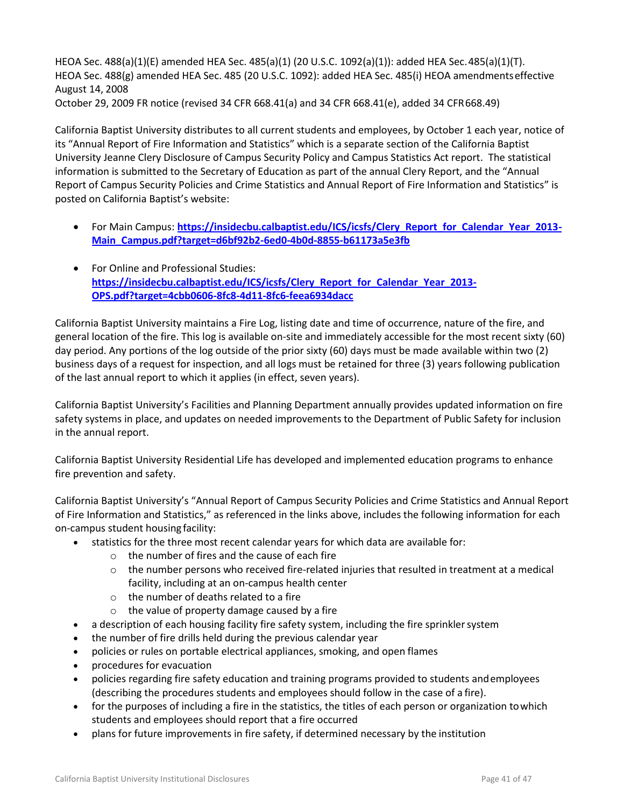HEOA Sec. 488(a)(1)(E) amended HEA Sec. 485(a)(1) (20 U.S.C. 1092(a)(1)): added HEA Sec.485(a)(1)(T). HEOA Sec. 488(g) amended HEA Sec. 485 (20 U.S.C. 1092): added HEA Sec. 485(i) HEOA amendmentseffective August 14, 2008 October 29, 2009 FR notice (revised 34 CFR 668.41(a) and 34 CFR 668.41(e), added 34 CFR668.49)

California Baptist University distributes to all current students and employees, by October 1 each year, notice of its "Annual Report of Fire Information and Statistics" which is a separate section of the California Baptist University Jeanne Clery Disclosure of Campus Security Policy and Campus Statistics Act report. The statistical information is submitted to the Secretary of Education as part of the annual Clery Report, and the "Annual Report of Campus Security Policies and Crime Statistics and Annual Report of Fire Information and Statistics" is

- For Main Campus: [https://insidecbu.calbaptist.edu/ICS/icsfs/Clery\\_Report\\_for\\_Calendar\\_Year\\_2013-](https://insidecbu.calbaptist.edu/ICS/icsfs/Clery_Report_for_Calendar_Year_2013-Main_Campus.pdf?target=d6bf92b2-6ed0-4b0d-8855-b61173a5e3fb) **[Main\\_Campus.pdf?target=d6bf92b2-6ed0-4b0d-8855-b61173a5e3fb](https://insidecbu.calbaptist.edu/ICS/icsfs/Clery_Report_for_Calendar_Year_2013-Main_Campus.pdf?target=d6bf92b2-6ed0-4b0d-8855-b61173a5e3fb)**
- For Online and Professional Studies: **[https://insidecbu.calbaptist.edu/ICS/icsfs/Clery\\_Report\\_for\\_Calendar\\_Year\\_2013-](https://insidecbu.calbaptist.edu/ICS/icsfs/Clery_Report_for_Calendar_Year_2013-OPS.pdf?target=4cbb0606-8fc8-4d11-8fc6-feea6934dacc) [OPS.pdf?target=4cbb0606-8fc8-4d11-8fc6-feea6934dacc](https://insidecbu.calbaptist.edu/ICS/icsfs/Clery_Report_for_Calendar_Year_2013-OPS.pdf?target=4cbb0606-8fc8-4d11-8fc6-feea6934dacc)**

California Baptist University maintains a Fire Log, listing date and time of occurrence, nature of the fire, and general location of the fire. This log is available on-site and immediately accessible for the most recent sixty (60) day period. Any portions of the log outside of the prior sixty (60) days must be made available within two (2) business days of a request for inspection, and all logs must be retained for three (3) years following publication of the last annual report to which it applies (in effect, seven years).

California Baptist University's Facilities and Planning Department annually provides updated information on fire safety systems in place, and updates on needed improvements to the Department of Public Safety for inclusion in the annual report.

California Baptist University Residential Life has developed and implemented education programs to enhance fire prevention and safety.

California Baptist University's "Annual Report of Campus Security Policies and Crime Statistics and Annual Report of Fire Information and Statistics," as referenced in the links above, includes the following information for each on-campus student housing facility:

- statistics for the three most recent calendar years for which data are available for:
	- o the number of fires and the cause of each fire
	- $\circ$  the number persons who received fire-related injuries that resulted in treatment at a medical facility, including at an on-campus health center
	- o the number of deaths related to a fire
	- $\circ$  the value of property damage caused by a fire
- a description of each housing facility fire safety system, including the fire sprinklersystem
- the number of fire drills held during the previous calendar year
- policies or rules on portable electrical appliances, smoking, and open flames
- procedures for evacuation

posted on California Baptist's website:

- policies regarding fire safety education and training programs provided to students andemployees (describing the procedures students and employees should follow in the case of a fire).
- for the purposes of including a fire in the statistics, the titles of each person or organization to which students and employees should report that a fire occurred
- plans for future improvements in fire safety, if determined necessary by the institution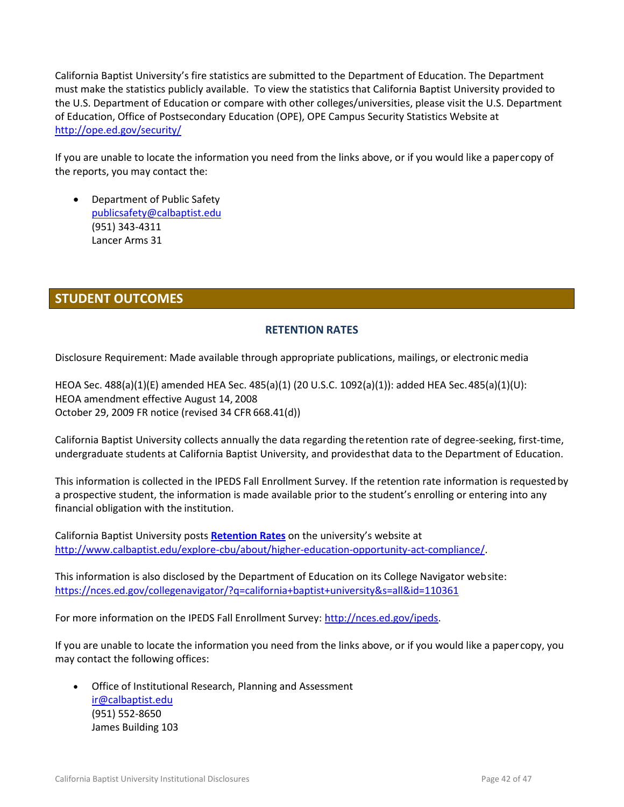California Baptist University's fire statistics are submitted to the Department of Education. The Department must make the statistics publicly available. To view the statistics that California Baptist University provided to the U.S. Department of Education or compare with other colleges/universities, please visit the U.S. Department of Education, Office of Postsecondary Education (OPE), OPE Campus Security Statistics Website at <http://ope.ed.gov/security/>

If you are unable to locate the information you need from the links above, or if you would like a papercopy of the reports, you may contact the:

 Department of Public Safety [publicsafety@calbaptist.edu](mailto:publicsafety@calbaptist.edu) (951) 343-4311 Lancer Arms 31

# <span id="page-41-0"></span>**STUDENT OUTCOMES**

# **RETENTION RATES**

<span id="page-41-1"></span>Disclosure Requirement: Made available through appropriate publications, mailings, or electronic media

HEOA Sec. 488(a)(1)(E) amended HEA Sec. 485(a)(1) (20 U.S.C. 1092(a)(1)): added HEA Sec.485(a)(1)(U): HEOA amendment effective August 14, 2008 October 29, 2009 FR notice (revised 34 CFR 668.41(d))

California Baptist University collects annually the data regarding theretention rate of degree-seeking, first-time, undergraduate students at California Baptist University, and providesthat data to the Department of Education.

This information is collected in the IPEDS Fall Enrollment Survey. If the retention rate information is requestedby a prospective student, the information is made available prior to the student's enrolling or entering into any financial obligation with the institution.

California Baptist University posts **[Retention Rates](https://insidecbu.calbaptist.edu/ICS/icsfs/2011-2013_Cohort_Retention_Rates.pdf?target=5e078590-11ad-49d0-8720-47f75895ad6b)** on the university's website at [http://www.calbaptist.edu/explore-cbu/about/higher-education-opportunity-act-compliance/.](http://www.calbaptist.edu/explore-cbu/about/higher-education-opportunity-act-compliance/)

This information is also disclosed by the Department of Education on its College Navigator website: <https://nces.ed.gov/collegenavigator/?q=california+baptist+university&s=all&id=110361>

For more information on the IPEDS Fall Enrollment Survey: [http://nces.ed.gov/ipeds.](http://nces.ed.gov/ipeds)

If you are unable to locate the information you need from the links above, or if you would like a papercopy, you may contact the following offices:

 Office of Institutional Research, Planning and Assessment [ir@calbaptist.edu](mailto:ir@calbaptist.edu) (951) 552-8650 James Building 103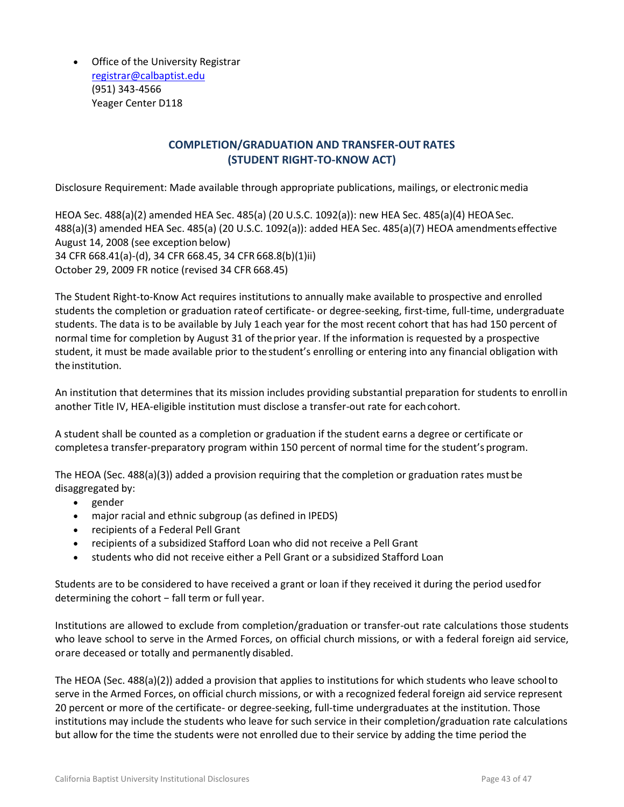Office of the University Registrar [registrar@calbaptist.edu](mailto:registrar@calbaptist.edu) (951) 343-4566 Yeager Center D118

# **COMPLETION/GRADUATION AND TRANSFER-OUT RATES (STUDENT RIGHT-TO-KNOW ACT)**

<span id="page-42-0"></span>Disclosure Requirement: Made available through appropriate publications, mailings, or electronicmedia

HEOA Sec. 488(a)(2) amended HEA Sec. 485(a) (20 U.S.C. 1092(a)): new HEA Sec. 485(a)(4) HEOASec. 488(a)(3) amended HEA Sec. 485(a) (20 U.S.C. 1092(a)): added HEA Sec. 485(a)(7) HEOA amendmentseffective August 14, 2008 (see exception below) 34 CFR 668.41(a)-(d), 34 CFR 668.45, 34 CFR 668.8(b)(1)ii) October 29, 2009 FR notice (revised 34 CFR 668.45)

The Student Right-to-Know Act requires institutions to annually make available to prospective and enrolled students the completion or graduation rateof certificate- or degree-seeking, first-time, full-time, undergraduate students. The data is to be available by July 1each year for the most recent cohort that has had 150 percent of normal time for completion by August 31 of theprior year. If the information is requested by a prospective student, it must be made available prior to thestudent's enrolling or entering into any financial obligation with the institution.

An institution that determines that its mission includes providing substantial preparation for students to enrollin another Title IV, HEA-eligible institution must disclose a transfer-out rate for eachcohort.

A student shall be counted as a completion or graduation if the student earns a degree or certificate or completesa transfer-preparatory program within 150 percent of normal time for the student's program.

The HEOA (Sec. 488(a)(3)) added a provision requiring that the completion or graduation rates must be disaggregated by:

- gender
- major racial and ethnic subgroup (as defined in IPEDS)
- recipients of a Federal Pell Grant
- recipients of a subsidized Stafford Loan who did not receive a Pell Grant
- students who did not receive either a Pell Grant or a subsidized Stafford Loan

Students are to be considered to have received a grant or loan if they received it during the period usedfor determining the cohort − fall term or full year.

Institutions are allowed to exclude from completion/graduation or transfer-out rate calculations those students who leave school to serve in the Armed Forces, on official church missions, or with a federal foreign aid service, orare deceased or totally and permanently disabled.

The HEOA (Sec. 488(a)(2)) added a provision that applies to institutions for which students who leave schoolto serve in the Armed Forces, on official church missions, or with a recognized federal foreign aid service represent 20 percent or more of the certificate- or degree-seeking, full-time undergraduates at the institution. Those institutions may include the students who leave for such service in their completion/graduation rate calculations but allow for the time the students were not enrolled due to their service by adding the time period the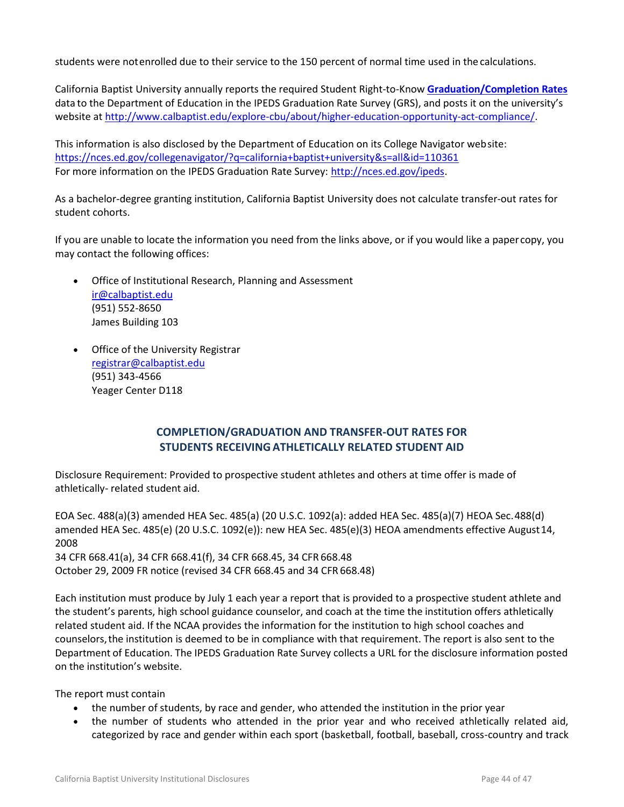students were notenrolled due to their service to the 150 percent of normal time used in the calculations.

California Baptist University annually reports the required Student Right-to-Know **[Graduation/Completion Rates](https://insidecbu.calbaptist.edu/ICS/icsfs/2006-2008_Cohort_Graduation_Rates.pdf?target=81d74559-9f39-4844-9ab8-24f77498a85d)** data to the Department of Education in the IPEDS Graduation Rate Survey (GRS), and posts it on the university's website at [http://www.calbaptist.edu/explore-cbu/about/higher-education-opportunity-act-compliance/.](http://www.calbaptist.edu/explore-cbu/about/higher-education-opportunity-act-compliance/)

This information is also disclosed by the Department of Education on its College Navigator website: <https://nces.ed.gov/collegenavigator/?q=california+baptist+university&s=all&id=110361> For more information on the IPEDS Graduation Rate Survey: [http://nces.ed.gov/ipeds.](http://nces.ed.gov/ipeds)

As a bachelor-degree granting institution, California Baptist University does not calculate transfer-out rates for student cohorts.

If you are unable to locate the information you need from the links above, or if you would like a papercopy, you may contact the following offices:

- Office of Institutional Research, Planning and Assessment [ir@calbaptist.edu](mailto:ir@calbaptist.edu) (951) 552-8650 James Building 103
- Office of the University Registrar [registrar@calbaptist.edu](mailto:registrar@calbaptist.edu) (951) 343-4566 Yeager Center D118

# **COMPLETION/GRADUATION AND TRANSFER-OUT RATES FOR STUDENTS RECEIVING ATHLETICALLY RELATED STUDENT AID**

<span id="page-43-0"></span>Disclosure Requirement: Provided to prospective student athletes and others at time offer is made of athletically- related student aid.

EOA Sec. 488(a)(3) amended HEA Sec. 485(a) (20 U.S.C. 1092(a): added HEA Sec. 485(a)(7) HEOA Sec.488(d) amended HEA Sec. 485(e) (20 U.S.C. 1092(e)): new HEA Sec. 485(e)(3) HEOA amendments effective August14, 2008 34 CFR 668.41(a), 34 CFR 668.41(f), 34 CFR 668.45, 34 CFR 668.48 October 29, 2009 FR notice (revised 34 CFR 668.45 and 34 CFR 668.48)

Each institution must produce by July 1 each year a report that is provided to a prospective student athlete and the student's parents, high school guidance counselor, and coach at the time the institution offers athletically related student aid. If the NCAA provides the information for the institution to high school coaches and counselors,the institution is deemed to be in compliance with that requirement. The report is also sent to the Department of Education. The IPEDS Graduation Rate Survey collects a URL for the disclosure information posted on the institution's website.

The report must contain

- the number of students, by race and gender, who attended the institution in the prior year
- the number of students who attended in the prior year and who received athletically related aid, categorized by race and gender within each sport (basketball, football, baseball, cross-country and track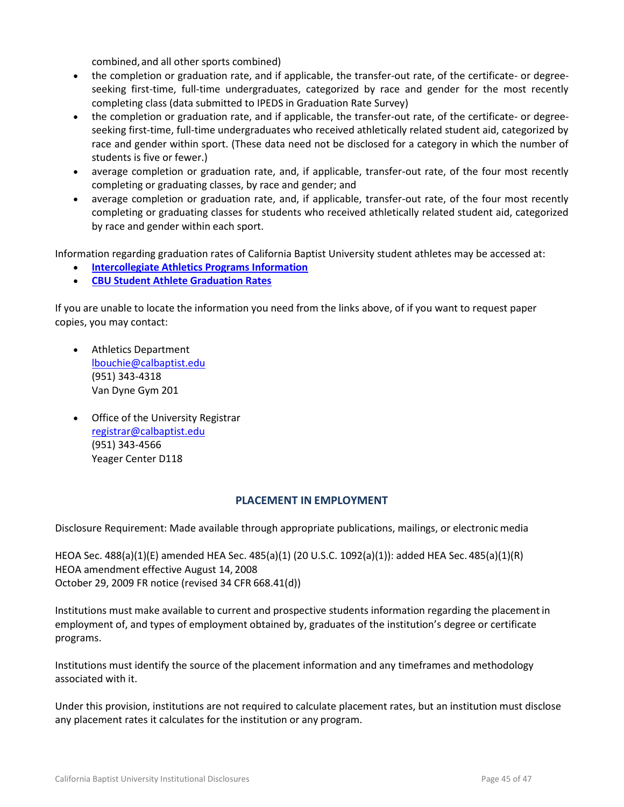combined,and all other sports combined)

- the completion or graduation rate, and if applicable, the transfer-out rate, of the certificate- or degreeseeking first-time, full-time undergraduates, categorized by race and gender for the most recently completing class (data submitted to IPEDS in Graduation Rate Survey)
- the completion or graduation rate, and if applicable, the transfer-out rate, of the certificate- or degreeseeking first-time, full-time undergraduates who received athletically related student aid, categorized by race and gender within sport. (These data need not be disclosed for a category in which the number of students is five or fewer.)
- average completion or graduation rate, and, if applicable, transfer-out rate, of the four most recently completing or graduating classes, by race and gender; and
- average completion or graduation rate, and, if applicable, transfer-out rate, of the four most recently completing or graduating classes for students who received athletically related student aid, categorized by race and gender within each sport.

Information regarding graduation rates of California Baptist University student athletes may be accessed at:

- **[Intercollegiate Athletics Programs Information](http://www.calbaptist.edu/files/1914/3501/8001/AthleticsInfo.pdf)**
- **[CBU Student Athlete Graduation Rates](http://www.calbaptist.edu/files/5714/3501/7663/CBU_Institutional_Report_-_2015.pdf)**

If you are unable to locate the information you need from the links above, of if you want to request paper copies, you may contact:

- Athletics Department [lbouchie@calbaptist.edu](mailto:lbouchie@calbaptist.edu) (951) 343-4318 Van Dyne Gym 201
- Office of the University Registrar [registrar@calbaptist.edu](mailto:registrar@calbaptist.edu) (951) 343-4566 Yeager Center D118

#### **PLACEMENT IN EMPLOYMENT**

<span id="page-44-0"></span>Disclosure Requirement: Made available through appropriate publications, mailings, or electronicmedia

HEOA Sec. 488(a)(1)(E) amended HEA Sec. 485(a)(1) (20 U.S.C. 1092(a)(1)): added HEA Sec. 485(a)(1)(R) HEOA amendment effective August 14, 2008 October 29, 2009 FR notice (revised 34 CFR 668.41(d))

Institutions must make available to current and prospective students information regarding the placement in employment of, and types of employment obtained by, graduates of the institution's degree or certificate programs.

Institutions must identify the source of the placement information and any timeframes and methodology associated with it.

Under this provision, institutions are not required to calculate placement rates, but an institution must disclose any placement rates it calculates for the institution or any program.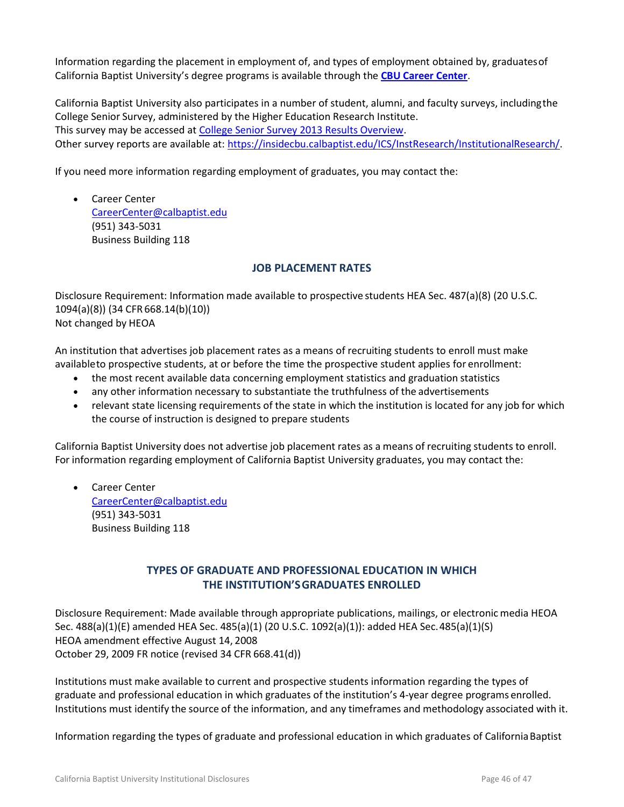Information regarding the placement in employment of, and types of employment obtained by, graduatesof California Baptist University's degree programs is available through the **[CBU Career Center](http://www.calbaptist.edu/explore-cbu/offices/career-center/career-center-archive/student-links/)**.

California Baptist University also participates in a number of student, alumni, and faculty surveys, includingthe College Senior Survey, administered by the Higher Education Research Institute. This survey may be accessed at [College Senior Survey 2013 Results Overview.](https://insidecbu.calbaptist.edu/ICS/Portlets/ICS/Handoutportlet/viewhandler.ashx?handout_id=135277c0-b9ef-4175-890e-aa135fb541e9) Other survey reports are available at: [https://insidecbu.calbaptist.edu/ICS/InstResearch/InstitutionalResearch/.](https://insidecbu.calbaptist.edu/ICS/InstResearch/InstitutionalResearch/)

If you need more information regarding employment of graduates, you may contact the:

 Career Center [CareerCenter@calbaptist.edu](mailto:CareerCenter@calbaptist.edu) (951) 343-5031 Business Building 118

### **JOB PLACEMENT RATES**

<span id="page-45-0"></span>Disclosure Requirement: Information made available to prospective students HEA Sec. 487(a)(8) (20 U.S.C. 1094(a)(8)) (34 CFR 668.14(b)(10)) Not changed by HEOA

An institution that advertises job placement rates as a means of recruiting students to enroll must make availableto prospective students, at or before the time the prospective student applies for enrollment:

- the most recent available data concerning employment statistics and graduation statistics
- any other information necessary to substantiate the truthfulness of the advertisements
- relevant state licensing requirements of the state in which the institution is located for any job for which the course of instruction is designed to prepare students

California Baptist University does not advertise job placement rates as a means of recruiting students to enroll. For information regarding employment of California Baptist University graduates, you may contact the:

 Career Center [CareerCenter@calbaptist.edu](mailto:CareerCenter@calbaptist.edu) (951) 343-5031 Business Building 118

# **TYPES OF GRADUATE AND PROFESSIONAL EDUCATION IN WHICH THE INSTITUTION'SGRADUATES ENROLLED**

<span id="page-45-1"></span>Disclosure Requirement: Made available through appropriate publications, mailings, or electronic media HEOA Sec. 488(a)(1)(E) amended HEA Sec. 485(a)(1) (20 U.S.C. 1092(a)(1)): added HEA Sec.485(a)(1)(S) HEOA amendment effective August 14, 2008 October 29, 2009 FR notice (revised 34 CFR 668.41(d))

Institutions must make available to current and prospective students information regarding the types of graduate and professional education in which graduates of the institution's 4-year degree programs enrolled. Institutions must identify the source of the information, and any timeframes and methodology associated with it.

Information regarding the types of graduate and professional education in which graduates of CaliforniaBaptist